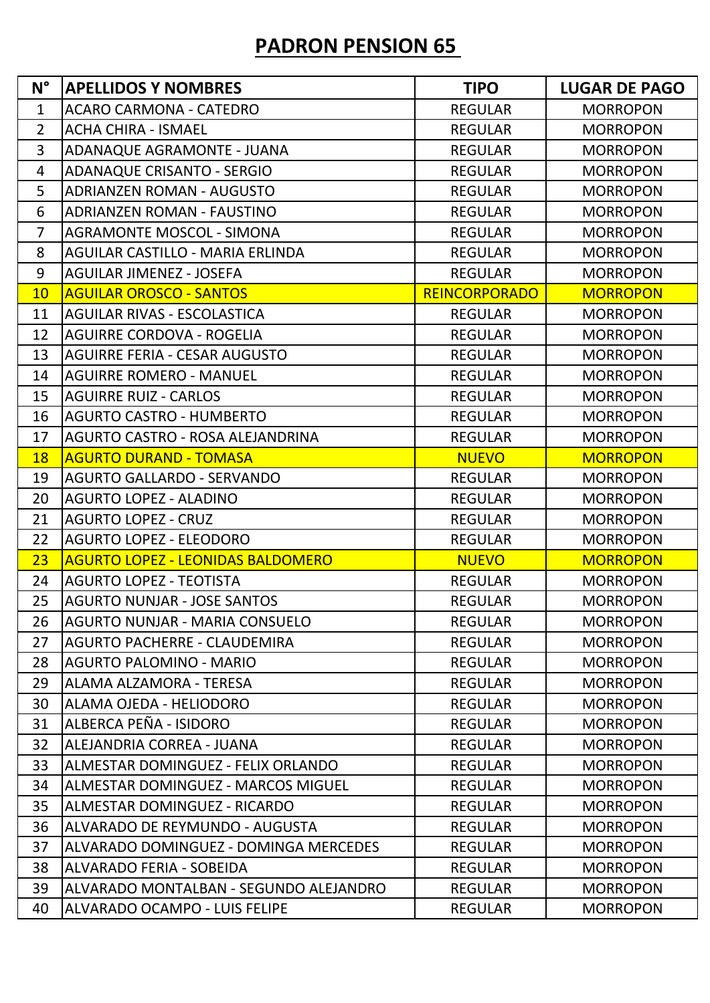## **PADRON PENSION 65**

| $N^{\circ}$    | <b>APELLIDOS Y NOMBRES</b>               | <b>TIPO</b>          | <b>LUGAR DE PAGO</b> |
|----------------|------------------------------------------|----------------------|----------------------|
| $\mathbf{1}$   | <b>ACARO CARMONA - CATEDRO</b>           | <b>REGULAR</b>       | <b>MORROPON</b>      |
| $\overline{2}$ | <b>ACHA CHIRA - ISMAEL</b>               | <b>REGULAR</b>       | <b>MORROPON</b>      |
| $\overline{3}$ | ADANAQUE AGRAMONTE - JUANA               | <b>REGULAR</b>       | <b>MORROPON</b>      |
| 4              | <b>ADANAQUE CRISANTO - SERGIO</b>        | <b>REGULAR</b>       | <b>MORROPON</b>      |
| 5              | <b>ADRIANZEN ROMAN - AUGUSTO</b>         | <b>REGULAR</b>       | <b>MORROPON</b>      |
| 6              | <b>ADRIANZEN ROMAN - FAUSTINO</b>        | <b>REGULAR</b>       | <b>MORROPON</b>      |
| $\overline{7}$ | <b>AGRAMONTE MOSCOL - SIMONA</b>         | <b>REGULAR</b>       | <b>MORROPON</b>      |
| 8              | <b>AGUILAR CASTILLO - MARIA ERLINDA</b>  | <b>REGULAR</b>       | <b>MORROPON</b>      |
| 9              | <b>AGUILAR JIMENEZ - JOSEFA</b>          | <b>REGULAR</b>       | <b>MORROPON</b>      |
| 10             | <b>AGUILAR OROSCO - SANTOS</b>           | <b>REINCORPORADO</b> | <b>MORROPON</b>      |
| 11             | <b>AGUILAR RIVAS - ESCOLASTICA</b>       | <b>REGULAR</b>       | <b>MORROPON</b>      |
| 12             | <b>AGUIRRE CORDOVA - ROGELIA</b>         | <b>REGULAR</b>       | <b>MORROPON</b>      |
| 13             | <b>AGUIRRE FERIA - CESAR AUGUSTO</b>     | <b>REGULAR</b>       | <b>MORROPON</b>      |
| 14             | <b>AGUIRRE ROMERO - MANUEL</b>           | <b>REGULAR</b>       | <b>MORROPON</b>      |
| 15             | <b>AGUIRRE RUIZ - CARLOS</b>             | <b>REGULAR</b>       | <b>MORROPON</b>      |
| 16             | <b>AGURTO CASTRO - HUMBERTO</b>          | <b>REGULAR</b>       | <b>MORROPON</b>      |
| 17             | AGURTO CASTRO - ROSA ALEJANDRINA         | <b>REGULAR</b>       | <b>MORROPON</b>      |
| <b>18</b>      | <b>AGURTO DURAND - TOMASA</b>            | <b>NUEVO</b>         | <b>MORROPON</b>      |
| 19             | <b>AGURTO GALLARDO - SERVANDO</b>        | <b>REGULAR</b>       | <b>MORROPON</b>      |
| 20             | <b>AGURTO LOPEZ - ALADINO</b>            | <b>REGULAR</b>       | <b>MORROPON</b>      |
| 21             | <b>AGURTO LOPEZ - CRUZ</b>               | <b>REGULAR</b>       | <b>MORROPON</b>      |
| 22             | <b>AGURTO LOPEZ - ELEODORO</b>           | <b>REGULAR</b>       | <b>MORROPON</b>      |
| 23             | <b>AGURTO LOPEZ - LEONIDAS BALDOMERO</b> | <b>NUEVO</b>         | <b>MORROPON</b>      |
| 24             | <b>AGURTO LOPEZ - TEOTISTA</b>           | <b>REGULAR</b>       | <b>MORROPON</b>      |
| 25             | <b>AGURTO NUNJAR - JOSE SANTOS</b>       | <b>REGULAR</b>       | <b>MORROPON</b>      |
| 26             | AGURTO NUNJAR - MARIA CONSUELO           | <b>REGULAR</b>       | <b>MORROPON</b>      |
| 27             | <b>AGURTO PACHERRE - CLAUDEMIRA</b>      | <b>REGULAR</b>       | <b>MORROPON</b>      |
| 28             | <b>AGURTO PALOMINO - MARIO</b>           | <b>REGULAR</b>       | <b>MORROPON</b>      |
| 29             | ALAMA ALZAMORA - TERESA                  | <b>REGULAR</b>       | <b>MORROPON</b>      |
| 30             | ALAMA OJEDA - HELIODORO                  | <b>REGULAR</b>       | <b>MORROPON</b>      |
| 31             | ALBERCA PEÑA - ISIDORO                   | <b>REGULAR</b>       | <b>MORROPON</b>      |
| 32             | ALEJANDRIA CORREA - JUANA                | <b>REGULAR</b>       | <b>MORROPON</b>      |
| 33             | ALMESTAR DOMINGUEZ - FELIX ORLANDO       | <b>REGULAR</b>       | <b>MORROPON</b>      |
| 34             | ALMESTAR DOMINGUEZ - MARCOS MIGUEL       | <b>REGULAR</b>       | <b>MORROPON</b>      |
| 35             | ALMESTAR DOMINGUEZ - RICARDO             | <b>REGULAR</b>       | <b>MORROPON</b>      |
| 36             | ALVARADO DE REYMUNDO - AUGUSTA           | <b>REGULAR</b>       | <b>MORROPON</b>      |
| 37             | ALVARADO DOMINGUEZ - DOMINGA MERCEDES    | <b>REGULAR</b>       | <b>MORROPON</b>      |
| 38             | <b>ALVARADO FERIA - SOBEIDA</b>          | <b>REGULAR</b>       | <b>MORROPON</b>      |
| 39             | ALVARADO MONTALBAN - SEGUNDO ALEJANDRO   | <b>REGULAR</b>       | <b>MORROPON</b>      |
| 40             | ALVARADO OCAMPO - LUIS FELIPE            | <b>REGULAR</b>       | <b>MORROPON</b>      |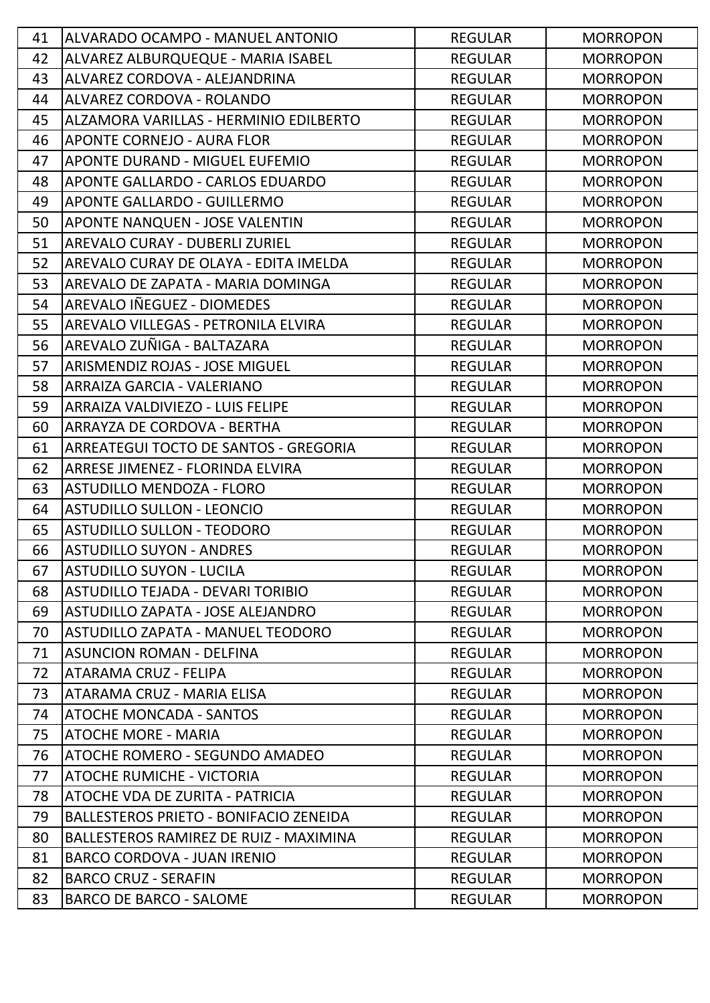| 41 | ALVARADO OCAMPO - MANUEL ANTONIO         | <b>REGULAR</b> | <b>MORROPON</b> |
|----|------------------------------------------|----------------|-----------------|
| 42 | ALVAREZ ALBURQUEQUE - MARIA ISABEL       | <b>REGULAR</b> | <b>MORROPON</b> |
| 43 | ALVAREZ CORDOVA - ALEJANDRINA            | <b>REGULAR</b> | <b>MORROPON</b> |
| 44 | ALVAREZ CORDOVA - ROLANDO                | <b>REGULAR</b> | <b>MORROPON</b> |
| 45 | ALZAMORA VARILLAS - HERMINIO EDILBERTO   | <b>REGULAR</b> | <b>MORROPON</b> |
| 46 | <b>APONTE CORNEJO - AURA FLOR</b>        | <b>REGULAR</b> | <b>MORROPON</b> |
| 47 | APONTE DURAND - MIGUEL EUFEMIO           | <b>REGULAR</b> | <b>MORROPON</b> |
| 48 | APONTE GALLARDO - CARLOS EDUARDO         | <b>REGULAR</b> | <b>MORROPON</b> |
| 49 | <b>APONTE GALLARDO - GUILLERMO</b>       | <b>REGULAR</b> | <b>MORROPON</b> |
| 50 | APONTE NANQUEN - JOSE VALENTIN           | <b>REGULAR</b> | <b>MORROPON</b> |
| 51 | AREVALO CURAY - DUBERLI ZURIEL           | <b>REGULAR</b> | <b>MORROPON</b> |
| 52 | AREVALO CURAY DE OLAYA - EDITA IMELDA    | <b>REGULAR</b> | <b>MORROPON</b> |
| 53 | AREVALO DE ZAPATA - MARIA DOMINGA        | <b>REGULAR</b> | <b>MORROPON</b> |
| 54 | AREVALO IÑEGUEZ - DIOMEDES               | <b>REGULAR</b> | <b>MORROPON</b> |
| 55 | AREVALO VILLEGAS - PETRONILA ELVIRA      | <b>REGULAR</b> | <b>MORROPON</b> |
| 56 | AREVALO ZUÑIGA - BALTAZARA               | <b>REGULAR</b> | <b>MORROPON</b> |
| 57 | <b>ARISMENDIZ ROJAS - JOSE MIGUEL</b>    | <b>REGULAR</b> | <b>MORROPON</b> |
| 58 | <b>ARRAIZA GARCIA - VALERIANO</b>        | <b>REGULAR</b> | <b>MORROPON</b> |
| 59 | ARRAIZA VALDIVIEZO - LUIS FELIPE         | <b>REGULAR</b> | <b>MORROPON</b> |
| 60 | ARRAYZA DE CORDOVA - BERTHA              | <b>REGULAR</b> | <b>MORROPON</b> |
| 61 | ARREATEGUI TOCTO DE SANTOS - GREGORIA    | <b>REGULAR</b> | <b>MORROPON</b> |
| 62 | ARRESE JIMENEZ - FLORINDA ELVIRA         | <b>REGULAR</b> | <b>MORROPON</b> |
| 63 | <b>ASTUDILLO MENDOZA - FLORO</b>         | <b>REGULAR</b> | <b>MORROPON</b> |
| 64 | <b>ASTUDILLO SULLON - LEONCIO</b>        | <b>REGULAR</b> | <b>MORROPON</b> |
| 65 | <b>ASTUDILLO SULLON - TEODORO</b>        | <b>REGULAR</b> | <b>MORROPON</b> |
| 66 | <b>ASTUDILLO SUYON - ANDRES</b>          | <b>REGULAR</b> | <b>MORROPON</b> |
| 67 | <b>ASTUDILLO SUYON - LUCILA</b>          | <b>REGULAR</b> | <b>MORROPON</b> |
| 68 | ASTUDILLO TEJADA - DEVARI TORIBIO        | <b>REGULAR</b> | <b>MORROPON</b> |
| 69 | <b>ASTUDILLO ZAPATA - JOSE ALEJANDRO</b> | <b>REGULAR</b> | <b>MORROPON</b> |
| 70 | ASTUDILLO ZAPATA - MANUEL TEODORO        | <b>REGULAR</b> | <b>MORROPON</b> |
| 71 | <b>ASUNCION ROMAN - DELFINA</b>          | <b>REGULAR</b> | <b>MORROPON</b> |
| 72 | ATARAMA CRUZ - FELIPA                    | <b>REGULAR</b> | <b>MORROPON</b> |
| 73 | ATARAMA CRUZ - MARIA ELISA               | <b>REGULAR</b> | <b>MORROPON</b> |
| 74 | <b>ATOCHE MONCADA - SANTOS</b>           | <b>REGULAR</b> | <b>MORROPON</b> |
| 75 | <b>ATOCHE MORE - MARIA</b>               | <b>REGULAR</b> | <b>MORROPON</b> |
| 76 | ATOCHE ROMERO - SEGUNDO AMADEO           | <b>REGULAR</b> | <b>MORROPON</b> |
| 77 | <b>ATOCHE RUMICHE - VICTORIA</b>         | <b>REGULAR</b> | <b>MORROPON</b> |
| 78 | ATOCHE VDA DE ZURITA - PATRICIA          | <b>REGULAR</b> | <b>MORROPON</b> |
| 79 | BALLESTEROS PRIETO - BONIFACIO ZENEIDA   | <b>REGULAR</b> | <b>MORROPON</b> |
| 80 | BALLESTEROS RAMIREZ DE RUIZ - MAXIMINA   | <b>REGULAR</b> | <b>MORROPON</b> |
| 81 | <b>BARCO CORDOVA - JUAN IRENIO</b>       | <b>REGULAR</b> | <b>MORROPON</b> |
| 82 | <b>BARCO CRUZ - SERAFIN</b>              | <b>REGULAR</b> | <b>MORROPON</b> |
| 83 | <b>BARCO DE BARCO - SALOME</b>           | <b>REGULAR</b> | <b>MORROPON</b> |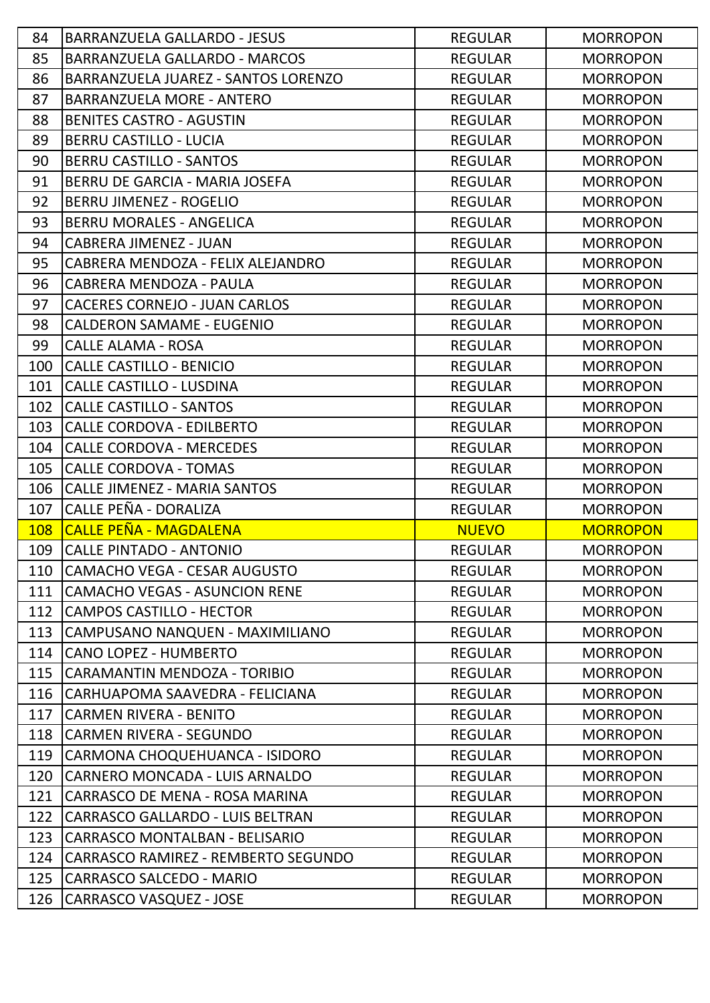| 84         | <b>BARRANZUELA GALLARDO - JESUS</b>  | <b>REGULAR</b> | <b>MORROPON</b> |
|------------|--------------------------------------|----------------|-----------------|
| 85         | <b>BARRANZUELA GALLARDO - MARCOS</b> | <b>REGULAR</b> | <b>MORROPON</b> |
| 86         | BARRANZUELA JUAREZ - SANTOS LORENZO  | <b>REGULAR</b> | <b>MORROPON</b> |
| 87         | <b>BARRANZUELA MORE - ANTERO</b>     | <b>REGULAR</b> | <b>MORROPON</b> |
| 88         | <b>BENITES CASTRO - AGUSTIN</b>      | <b>REGULAR</b> | <b>MORROPON</b> |
| 89         | <b>BERRU CASTILLO - LUCIA</b>        | <b>REGULAR</b> | <b>MORROPON</b> |
| 90         | <b>BERRU CASTILLO - SANTOS</b>       | <b>REGULAR</b> | <b>MORROPON</b> |
| 91         | BERRU DE GARCIA - MARIA JOSEFA       | <b>REGULAR</b> | <b>MORROPON</b> |
| 92         | <b>BERRU JIMENEZ - ROGELIO</b>       | <b>REGULAR</b> | <b>MORROPON</b> |
| 93         | <b>BERRU MORALES - ANGELICA</b>      | <b>REGULAR</b> | <b>MORROPON</b> |
| 94         | <b>CABRERA JIMENEZ - JUAN</b>        | <b>REGULAR</b> | <b>MORROPON</b> |
| 95         | CABRERA MENDOZA - FELIX ALEJANDRO    | <b>REGULAR</b> | <b>MORROPON</b> |
| 96         | CABRERA MENDOZA - PAULA              | <b>REGULAR</b> | <b>MORROPON</b> |
| 97         | <b>CACERES CORNEJO - JUAN CARLOS</b> | <b>REGULAR</b> | <b>MORROPON</b> |
| 98         | <b>CALDERON SAMAME - EUGENIO</b>     | <b>REGULAR</b> | <b>MORROPON</b> |
| 99         | <b>CALLE ALAMA - ROSA</b>            | <b>REGULAR</b> | <b>MORROPON</b> |
| 100        | CALLE CASTILLO - BENICIO             | <b>REGULAR</b> | <b>MORROPON</b> |
| 101        | CALLE CASTILLO - LUSDINA             | <b>REGULAR</b> | <b>MORROPON</b> |
| 102        | <b>CALLE CASTILLO - SANTOS</b>       | <b>REGULAR</b> | <b>MORROPON</b> |
| 103        | CALLE CORDOVA - EDILBERTO            | <b>REGULAR</b> | <b>MORROPON</b> |
| 104        | CALLE CORDOVA - MERCEDES             | <b>REGULAR</b> | <b>MORROPON</b> |
| 105        | <b>CALLE CORDOVA - TOMAS</b>         | <b>REGULAR</b> | <b>MORROPON</b> |
| 106        | CALLE JIMENEZ - MARIA SANTOS         | <b>REGULAR</b> | <b>MORROPON</b> |
| 107        | CALLE PEÑA - DORALIZA                | <b>REGULAR</b> | <b>MORROPON</b> |
| <b>108</b> | <b>CALLE PEÑA - MAGDALENA</b>        | <b>NUEVO</b>   | <b>MORROPON</b> |
| 109        | CALLE PINTADO - ANTONIO              | <b>REGULAR</b> | <b>MORROPON</b> |
| 110        | CAMACHO VEGA - CESAR AUGUSTO         | <b>REGULAR</b> | <b>MORROPON</b> |
| 111        | CAMACHO VEGAS - ASUNCION RENE        | <b>REGULAR</b> | <b>MORROPON</b> |
| 112        | <b>CAMPOS CASTILLO - HECTOR</b>      | <b>REGULAR</b> | <b>MORROPON</b> |
| 113        | CAMPUSANO NANQUEN - MAXIMILIANO      | <b>REGULAR</b> | <b>MORROPON</b> |
| 114        | <b>CANO LOPEZ - HUMBERTO</b>         | <b>REGULAR</b> | <b>MORROPON</b> |
| 115        | CARAMANTIN MENDOZA - TORIBIO         | <b>REGULAR</b> | <b>MORROPON</b> |
| 116        | CARHUAPOMA SAAVEDRA - FELICIANA      | <b>REGULAR</b> | <b>MORROPON</b> |
| 117        | <b>CARMEN RIVERA - BENITO</b>        | <b>REGULAR</b> | <b>MORROPON</b> |
| 118        | <b>CARMEN RIVERA - SEGUNDO</b>       | <b>REGULAR</b> | <b>MORROPON</b> |
| 119        | CARMONA CHOQUEHUANCA - ISIDORO       | <b>REGULAR</b> | <b>MORROPON</b> |
| 120        | CARNERO MONCADA - LUIS ARNALDO       | <b>REGULAR</b> | <b>MORROPON</b> |
| 121        | ICARRASCO DE MENA - ROSA MARINA      | <b>REGULAR</b> | <b>MORROPON</b> |
| 122        | CARRASCO GALLARDO - LUIS BELTRAN     | <b>REGULAR</b> | <b>MORROPON</b> |
| 123        | CARRASCO MONTALBAN - BELISARIO       | <b>REGULAR</b> | <b>MORROPON</b> |
| 124        | CARRASCO RAMIREZ - REMBERTO SEGUNDO  | <b>REGULAR</b> | <b>MORROPON</b> |
| 125        | <b>CARRASCO SALCEDO - MARIO</b>      | <b>REGULAR</b> | <b>MORROPON</b> |
| 126        | CARRASCO VASQUEZ - JOSE              | <b>REGULAR</b> | <b>MORROPON</b> |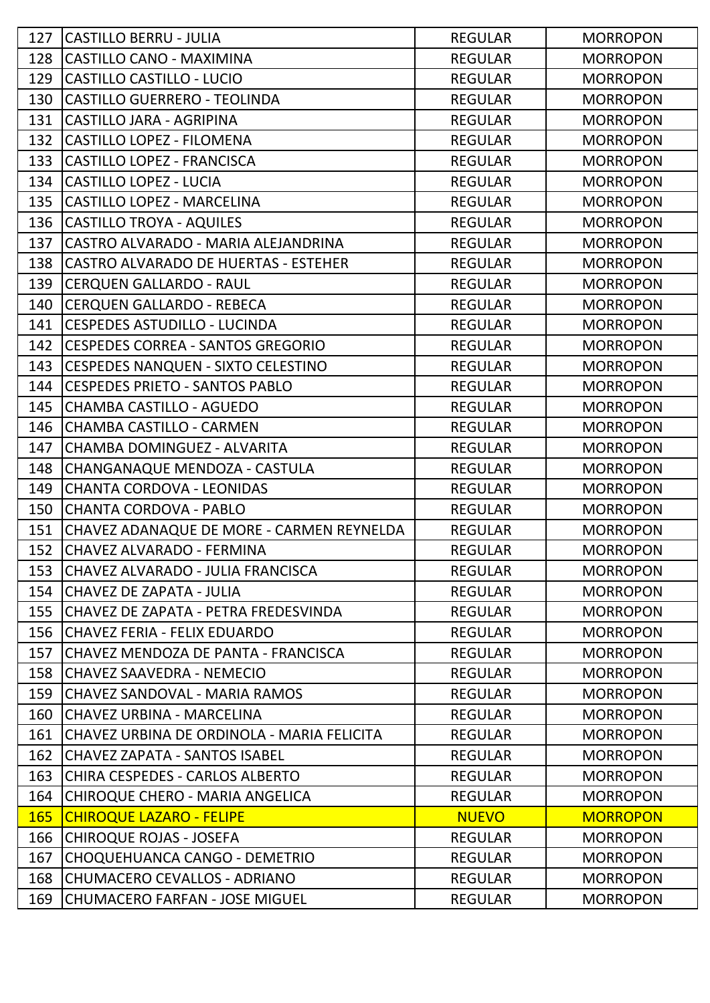| 127        | <b>CASTILLO BERRU - JULIA</b>              | <b>REGULAR</b> | <b>MORROPON</b> |
|------------|--------------------------------------------|----------------|-----------------|
| 128        | <b>CASTILLO CANO - MAXIMINA</b>            | <b>REGULAR</b> | <b>MORROPON</b> |
| 129        | <b>CASTILLO CASTILLO - LUCIO</b>           | <b>REGULAR</b> | <b>MORROPON</b> |
| 130        | <b>CASTILLO GUERRERO - TEOLINDA</b>        | <b>REGULAR</b> | <b>MORROPON</b> |
| 131        | <b>CASTILLO JARA - AGRIPINA</b>            | <b>REGULAR</b> | <b>MORROPON</b> |
| 132        | <b>CASTILLO LOPEZ - FILOMENA</b>           | <b>REGULAR</b> | <b>MORROPON</b> |
| 133        | <b>CASTILLO LOPEZ - FRANCISCA</b>          | <b>REGULAR</b> | <b>MORROPON</b> |
| 134        | <b>CASTILLO LOPEZ - LUCIA</b>              | <b>REGULAR</b> | <b>MORROPON</b> |
| 135        | <b>CASTILLO LOPEZ - MARCELINA</b>          | <b>REGULAR</b> | <b>MORROPON</b> |
| 136        | <b>CASTILLO TROYA - AQUILES</b>            | <b>REGULAR</b> | <b>MORROPON</b> |
| 137        | CASTRO ALVARADO - MARIA ALEJANDRINA        | <b>REGULAR</b> | <b>MORROPON</b> |
| 138        | CASTRO ALVARADO DE HUERTAS - ESTEHER       | <b>REGULAR</b> | <b>MORROPON</b> |
| 139        | <b>CERQUEN GALLARDO - RAUL</b>             | <b>REGULAR</b> | <b>MORROPON</b> |
| 140        | <b>CERQUEN GALLARDO - REBECA</b>           | <b>REGULAR</b> | <b>MORROPON</b> |
| 141        | <b>CESPEDES ASTUDILLO - LUCINDA</b>        | <b>REGULAR</b> | <b>MORROPON</b> |
| 142        | <b>CESPEDES CORREA - SANTOS GREGORIO</b>   | <b>REGULAR</b> | <b>MORROPON</b> |
| 143        | <b>CESPEDES NANQUEN - SIXTO CELESTINO</b>  | <b>REGULAR</b> | <b>MORROPON</b> |
| 144        | <b>CESPEDES PRIETO - SANTOS PABLO</b>      | <b>REGULAR</b> | <b>MORROPON</b> |
| 145        | <b>CHAMBA CASTILLO - AGUEDO</b>            | <b>REGULAR</b> | <b>MORROPON</b> |
| 146        | <b>CHAMBA CASTILLO - CARMEN</b>            | <b>REGULAR</b> | <b>MORROPON</b> |
| 147        | CHAMBA DOMINGUEZ - ALVARITA                | <b>REGULAR</b> | <b>MORROPON</b> |
| 148        | CHANGANAQUE MENDOZA - CASTULA              | <b>REGULAR</b> | <b>MORROPON</b> |
| 149        | <b>CHANTA CORDOVA - LEONIDAS</b>           | <b>REGULAR</b> | <b>MORROPON</b> |
| 150        | <b>CHANTA CORDOVA - PABLO</b>              | <b>REGULAR</b> | <b>MORROPON</b> |
| 151        | CHAVEZ ADANAQUE DE MORE - CARMEN REYNELDA  | <b>REGULAR</b> | <b>MORROPON</b> |
| 152        | CHAVEZ ALVARADO - FERMINA                  | <b>REGULAR</b> | <b>MORROPON</b> |
| 153        | CHAVEZ ALVARADO - JULIA FRANCISCA          | <b>REGULAR</b> | <b>MORROPON</b> |
| 154        | <b>CHAVEZ DE ZAPATA - JULIA</b>            | <b>REGULAR</b> | <b>MORROPON</b> |
| 155        | lCHAVEZ DE ZAPATA - PETRA FREDESVINDA      | <b>REGULAR</b> | <b>MORROPON</b> |
| 156        | CHAVEZ FERIA - FELIX EDUARDO               | <b>REGULAR</b> | <b>MORROPON</b> |
| 157        | CHAVEZ MENDOZA DE PANTA - FRANCISCA        | <b>REGULAR</b> | <b>MORROPON</b> |
| 158        | CHAVEZ SAAVEDRA - NEMECIO                  | <b>REGULAR</b> | <b>MORROPON</b> |
| 159        | CHAVEZ SANDOVAL - MARIA RAMOS              | <b>REGULAR</b> | <b>MORROPON</b> |
| 160        | <b>CHAVEZ URBINA - MARCELINA</b>           | <b>REGULAR</b> | <b>MORROPON</b> |
| 161        | CHAVEZ URBINA DE ORDINOLA - MARIA FELICITA | <b>REGULAR</b> | <b>MORROPON</b> |
| 162        | CHAVEZ ZAPATA - SANTOS ISABEL              | <b>REGULAR</b> | <b>MORROPON</b> |
| 163        | CHIRA CESPEDES - CARLOS ALBERTO            | <b>REGULAR</b> | <b>MORROPON</b> |
| 164        | CHIROQUE CHERO - MARIA ANGELICA            | <b>REGULAR</b> | <b>MORROPON</b> |
| <b>165</b> | <b>CHIROQUE LAZARO - FELIPE</b>            | <b>NUEVO</b>   | <b>MORROPON</b> |
| 166        | <b>CHIROQUE ROJAS - JOSEFA</b>             | <b>REGULAR</b> | <b>MORROPON</b> |
| 167        | CHOQUEHUANCA CANGO - DEMETRIO              | <b>REGULAR</b> | <b>MORROPON</b> |
| 168        | <b>CHUMACERO CEVALLOS - ADRIANO</b>        | <b>REGULAR</b> | <b>MORROPON</b> |
| 169        | CHUMACERO FARFAN - JOSE MIGUEL             | <b>REGULAR</b> | <b>MORROPON</b> |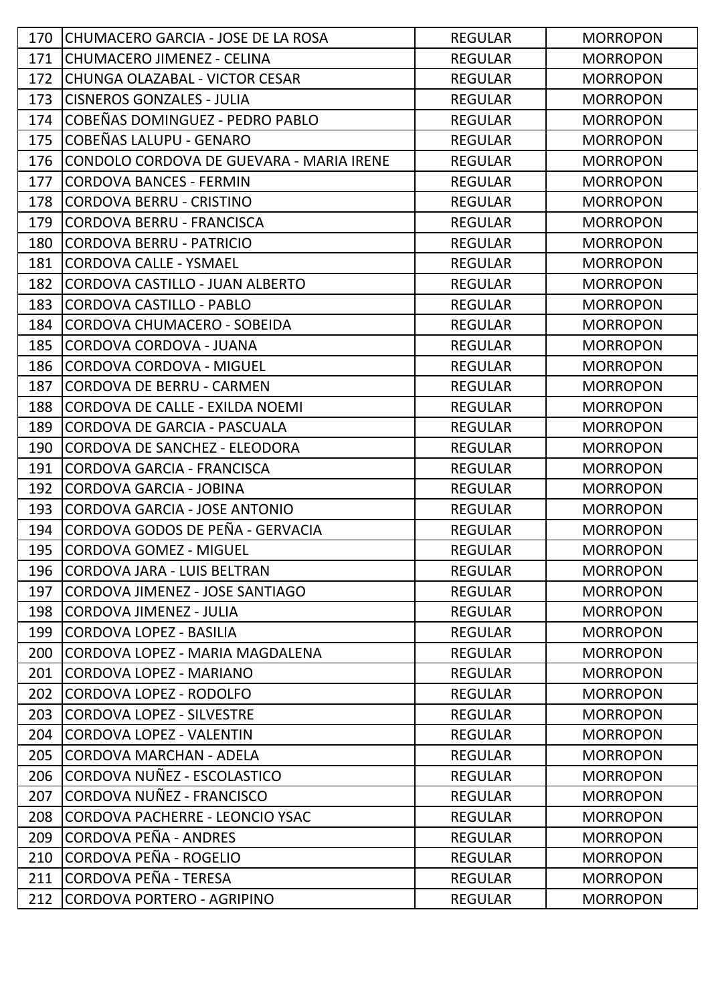| 170 | CHUMACERO GARCIA - JOSE DE LA ROSA       | <b>REGULAR</b> | <b>MORROPON</b> |
|-----|------------------------------------------|----------------|-----------------|
| 171 | CHUMACERO JIMENEZ - CELINA               | <b>REGULAR</b> | <b>MORROPON</b> |
| 172 | CHUNGA OLAZABAL - VICTOR CESAR           | <b>REGULAR</b> | <b>MORROPON</b> |
| 173 | <b>CISNEROS GONZALES - JULIA</b>         | <b>REGULAR</b> | <b>MORROPON</b> |
| 174 | COBEÑAS DOMINGUEZ - PEDRO PABLO          | <b>REGULAR</b> | <b>MORROPON</b> |
| 175 | COBEÑAS LALUPU - GENARO                  | <b>REGULAR</b> | <b>MORROPON</b> |
| 176 | CONDOLO CORDOVA DE GUEVARA - MARIA IRENE | <b>REGULAR</b> | <b>MORROPON</b> |
| 177 | <b>CORDOVA BANCES - FERMIN</b>           | <b>REGULAR</b> | <b>MORROPON</b> |
| 178 | <b>CORDOVA BERRU - CRISTINO</b>          | <b>REGULAR</b> | <b>MORROPON</b> |
| 179 | <b>CORDOVA BERRU - FRANCISCA</b>         | <b>REGULAR</b> | <b>MORROPON</b> |
| 180 | <b>CORDOVA BERRU - PATRICIO</b>          | <b>REGULAR</b> | <b>MORROPON</b> |
| 181 | <b>CORDOVA CALLE - YSMAEL</b>            | <b>REGULAR</b> | <b>MORROPON</b> |
| 182 | CORDOVA CASTILLO - JUAN ALBERTO          | <b>REGULAR</b> | <b>MORROPON</b> |
| 183 | <b>CORDOVA CASTILLO - PABLO</b>          | <b>REGULAR</b> | <b>MORROPON</b> |
| 184 | CORDOVA CHUMACERO - SOBEIDA              | <b>REGULAR</b> | <b>MORROPON</b> |
| 185 | <b>CORDOVA CORDOVA - JUANA</b>           | <b>REGULAR</b> | <b>MORROPON</b> |
| 186 | <b>CORDOVA CORDOVA - MIGUEL</b>          | <b>REGULAR</b> | <b>MORROPON</b> |
| 187 | <b>CORDOVA DE BERRU - CARMEN</b>         | <b>REGULAR</b> | <b>MORROPON</b> |
| 188 | CORDOVA DE CALLE - EXILDA NOEMI          | <b>REGULAR</b> | <b>MORROPON</b> |
| 189 | CORDOVA DE GARCIA - PASCUALA             | <b>REGULAR</b> | <b>MORROPON</b> |
| 190 | CORDOVA DE SANCHEZ - ELEODORA            | <b>REGULAR</b> | <b>MORROPON</b> |
| 191 | <b>CORDOVA GARCIA - FRANCISCA</b>        | <b>REGULAR</b> | <b>MORROPON</b> |
| 192 | <b>CORDOVA GARCIA - JOBINA</b>           | <b>REGULAR</b> | <b>MORROPON</b> |
| 193 | <b>CORDOVA GARCIA - JOSE ANTONIO</b>     | <b>REGULAR</b> | <b>MORROPON</b> |
| 194 | CORDOVA GODOS DE PEÑA - GERVACIA         | <b>REGULAR</b> | <b>MORROPON</b> |
| 195 | <b>CORDOVA GOMEZ - MIGUEL</b>            | <b>REGULAR</b> | <b>MORROPON</b> |
| 196 | ICORDOVA JARA - LUIS BELTRAN             | <b>REGULAR</b> | <b>MORROPON</b> |
| 197 | CORDOVA JIMENEZ - JOSE SANTIAGO          | <b>REGULAR</b> | <b>MORROPON</b> |
| 198 | CORDOVA JIMENEZ - JULIA                  | <b>REGULAR</b> | <b>MORROPON</b> |
| 199 | <b>CORDOVA LOPEZ - BASILIA</b>           | <b>REGULAR</b> | <b>MORROPON</b> |
| 200 | CORDOVA LOPEZ - MARIA MAGDALENA          | <b>REGULAR</b> | <b>MORROPON</b> |
| 201 | <b>CORDOVA LOPEZ - MARIANO</b>           | <b>REGULAR</b> | <b>MORROPON</b> |
| 202 | <b>CORDOVA LOPEZ - RODOLFO</b>           | <b>REGULAR</b> | <b>MORROPON</b> |
| 203 | <b>CORDOVA LOPEZ - SILVESTRE</b>         | <b>REGULAR</b> | <b>MORROPON</b> |
| 204 | <b>CORDOVA LOPEZ - VALENTIN</b>          | <b>REGULAR</b> | <b>MORROPON</b> |
| 205 | <b>CORDOVA MARCHAN - ADELA</b>           | <b>REGULAR</b> | <b>MORROPON</b> |
| 206 | CORDOVA NUÑEZ - ESCOLASTICO              | <b>REGULAR</b> | <b>MORROPON</b> |
| 207 | CORDOVA NUÑEZ - FRANCISCO                | <b>REGULAR</b> | <b>MORROPON</b> |
| 208 | <b>CORDOVA PACHERRE - LEONCIO YSAC</b>   | <b>REGULAR</b> | <b>MORROPON</b> |
| 209 | CORDOVA PEÑA - ANDRES                    | <b>REGULAR</b> | <b>MORROPON</b> |
| 210 | CORDOVA PEÑA - ROGELIO                   | <b>REGULAR</b> | <b>MORROPON</b> |
| 211 | CORDOVA PEÑA - TERESA                    | <b>REGULAR</b> | <b>MORROPON</b> |
| 212 | CORDOVA PORTERO - AGRIPINO               | <b>REGULAR</b> | <b>MORROPON</b> |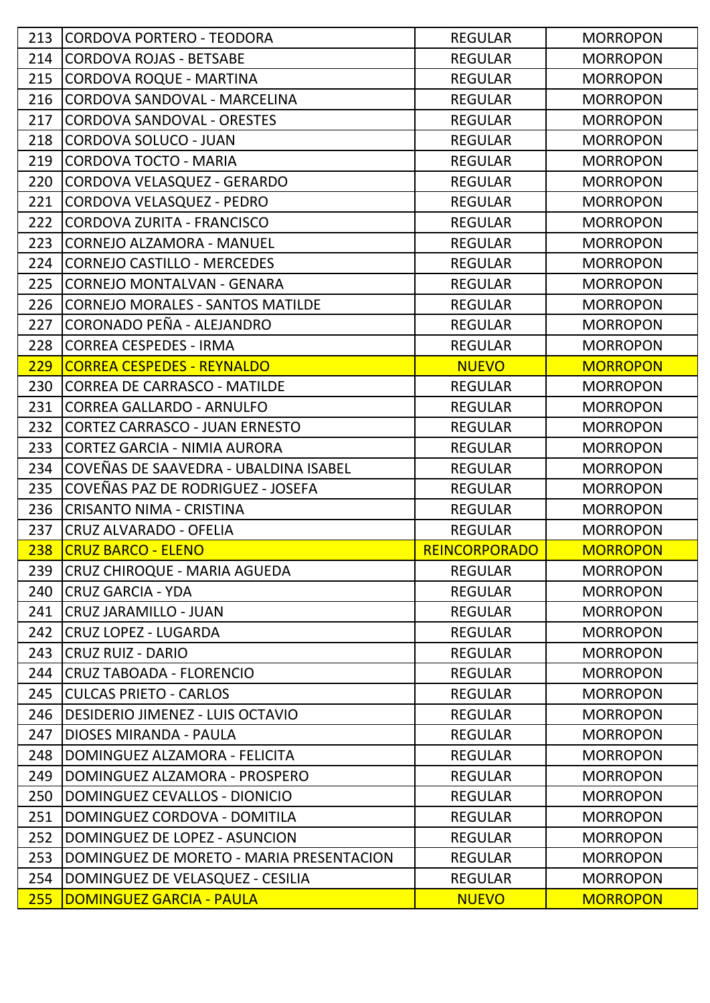|     | 213 CORDOVA PORTERO - TEODORA            | <b>REGULAR</b>       | <b>MORROPON</b> |
|-----|------------------------------------------|----------------------|-----------------|
| 214 | <b>CORDOVA ROJAS - BETSABE</b>           | <b>REGULAR</b>       | <b>MORROPON</b> |
| 215 | CORDOVA ROQUE - MARTINA                  | <b>REGULAR</b>       | <b>MORROPON</b> |
| 216 | CORDOVA SANDOVAL - MARCELINA             | <b>REGULAR</b>       | <b>MORROPON</b> |
| 217 | <b>CORDOVA SANDOVAL - ORESTES</b>        | <b>REGULAR</b>       | <b>MORROPON</b> |
| 218 | CORDOVA SOLUCO - JUAN                    | <b>REGULAR</b>       | <b>MORROPON</b> |
| 219 | CORDOVA TOCTO - MARIA                    | <b>REGULAR</b>       | <b>MORROPON</b> |
| 220 | CORDOVA VELASQUEZ - GERARDO              | <b>REGULAR</b>       | <b>MORROPON</b> |
| 221 | CORDOVA VELASQUEZ - PEDRO                | <b>REGULAR</b>       | <b>MORROPON</b> |
| 222 | CORDOVA ZURITA - FRANCISCO               | <b>REGULAR</b>       | <b>MORROPON</b> |
| 223 | CORNEJO ALZAMORA - MANUEL                | <b>REGULAR</b>       | <b>MORROPON</b> |
| 224 | CORNEJO CASTILLO - MERCEDES              | <b>REGULAR</b>       | <b>MORROPON</b> |
| 225 | CORNEJO MONTALVAN - GENARA               | <b>REGULAR</b>       | <b>MORROPON</b> |
| 226 | CORNEJO MORALES - SANTOS MATILDE         | <b>REGULAR</b>       | <b>MORROPON</b> |
| 227 | CORONADO PEÑA - ALEJANDRO                | <b>REGULAR</b>       | <b>MORROPON</b> |
| 228 | CORREA CESPEDES - IRMA                   | <b>REGULAR</b>       | <b>MORROPON</b> |
| 229 | <b>CORREA CESPEDES - REYNALDO</b>        | <b>NUEVO</b>         | <b>MORROPON</b> |
| 230 | CORREA DE CARRASCO - MATILDE             | <b>REGULAR</b>       | <b>MORROPON</b> |
| 231 | CORREA GALLARDO - ARNULFO                | <b>REGULAR</b>       | <b>MORROPON</b> |
| 232 | CORTEZ CARRASCO - JUAN ERNESTO           | <b>REGULAR</b>       | <b>MORROPON</b> |
| 233 | CORTEZ GARCIA - NIMIA AURORA             | <b>REGULAR</b>       | <b>MORROPON</b> |
| 234 | COVEÑAS DE SAAVEDRA - UBALDINA ISABEL    | <b>REGULAR</b>       | <b>MORROPON</b> |
| 235 | COVEÑAS PAZ DE RODRIGUEZ - JOSEFA        | <b>REGULAR</b>       | <b>MORROPON</b> |
| 236 | CRISANTO NIMA - CRISTINA                 | <b>REGULAR</b>       | <b>MORROPON</b> |
| 237 | CRUZ ALVARADO - OFELIA                   | <b>REGULAR</b>       | <b>MORROPON</b> |
| 238 | <b>CRUZ BARCO - ELENO</b>                | <b>REINCORPORADO</b> | <b>MORROPON</b> |
| 239 | CRUZ CHIROQUE - MARIA AGUEDA             | <b>REGULAR</b>       | <b>MORROPON</b> |
| 240 | <b>CRUZ GARCIA - YDA</b>                 | <b>REGULAR</b>       | <b>MORROPON</b> |
| 241 |                                          |                      |                 |
|     | CRUZ JARAMILLO - JUAN                    | <b>REGULAR</b>       | <b>MORROPON</b> |
| 242 | <b>CRUZ LOPEZ - LUGARDA</b>              | <b>REGULAR</b>       | <b>MORROPON</b> |
| 243 | CRUZ RUIZ - DARIO                        | <b>REGULAR</b>       | <b>MORROPON</b> |
| 244 | CRUZ TABOADA - FLORENCIO                 | <b>REGULAR</b>       | <b>MORROPON</b> |
| 245 | <b>lCULCAS PRIETO - CARLOS</b>           | <b>REGULAR</b>       | <b>MORROPON</b> |
| 246 | <b>DESIDERIO JIMENEZ - LUIS OCTAVIO</b>  | <b>REGULAR</b>       | <b>MORROPON</b> |
| 247 | <b>DIOSES MIRANDA - PAULA</b>            | <b>REGULAR</b>       | <b>MORROPON</b> |
| 248 | DOMINGUEZ ALZAMORA - FELICITA            | <b>REGULAR</b>       | <b>MORROPON</b> |
| 249 | DOMINGUEZ ALZAMORA - PROSPERO            | <b>REGULAR</b>       | <b>MORROPON</b> |
| 250 | DOMINGUEZ CEVALLOS - DIONICIO            | <b>REGULAR</b>       | <b>MORROPON</b> |
| 251 | DOMINGUEZ CORDOVA - DOMITILA             | <b>REGULAR</b>       | <b>MORROPON</b> |
| 252 | DOMINGUEZ DE LOPEZ - ASUNCION            | <b>REGULAR</b>       | <b>MORROPON</b> |
| 253 | DOMINGUEZ DE MORETO - MARIA PRESENTACION | <b>REGULAR</b>       | <b>MORROPON</b> |
| 254 | DOMINGUEZ DE VELASQUEZ - CESILIA         | <b>REGULAR</b>       | <b>MORROPON</b> |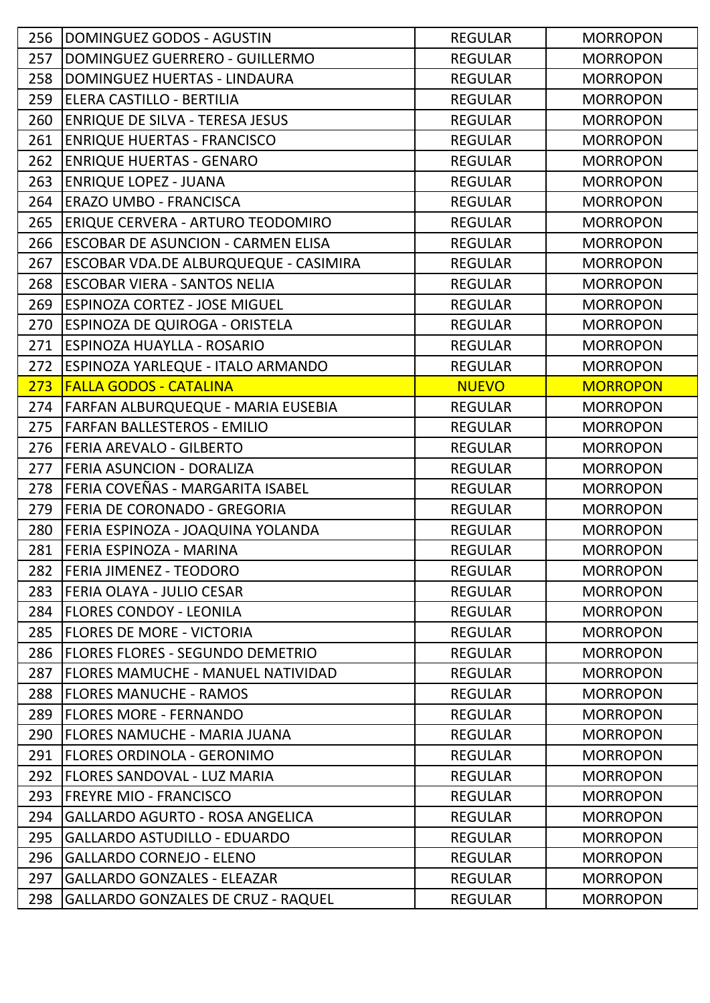| 256 | DOMINGUEZ GODOS - AGUSTIN                    | <b>REGULAR</b> | <b>MORROPON</b> |
|-----|----------------------------------------------|----------------|-----------------|
| 257 | DOMINGUEZ GUERRERO - GUILLERMO               | <b>REGULAR</b> | <b>MORROPON</b> |
| 258 | DOMINGUEZ HUERTAS - LINDAURA                 | <b>REGULAR</b> | <b>MORROPON</b> |
| 259 | ELERA CASTILLO - BERTILIA                    | <b>REGULAR</b> | <b>MORROPON</b> |
| 260 | <b>ENRIQUE DE SILVA - TERESA JESUS</b>       | <b>REGULAR</b> | <b>MORROPON</b> |
| 261 | <b>ENRIQUE HUERTAS - FRANCISCO</b>           | <b>REGULAR</b> | <b>MORROPON</b> |
| 262 | <b>ENRIQUE HUERTAS - GENARO</b>              | <b>REGULAR</b> | <b>MORROPON</b> |
| 263 | <b>ENRIQUE LOPEZ - JUANA</b>                 | <b>REGULAR</b> | <b>MORROPON</b> |
| 264 | <b>ERAZO UMBO - FRANCISCA</b>                | <b>REGULAR</b> | <b>MORROPON</b> |
| 265 | <b>ERIQUE CERVERA - ARTURO TEODOMIRO</b>     | <b>REGULAR</b> | <b>MORROPON</b> |
| 266 | <b>ESCOBAR DE ASUNCION - CARMEN ELISA</b>    | <b>REGULAR</b> | <b>MORROPON</b> |
| 267 | <b>ESCOBAR VDA.DE ALBURQUEQUE - CASIMIRA</b> | <b>REGULAR</b> | <b>MORROPON</b> |
| 268 | <b>ESCOBAR VIERA - SANTOS NELIA</b>          | <b>REGULAR</b> | <b>MORROPON</b> |
| 269 | <b>ESPINOZA CORTEZ - JOSE MIGUEL</b>         | <b>REGULAR</b> | <b>MORROPON</b> |
| 270 | <b>ESPINOZA DE QUIROGA - ORISTELA</b>        | <b>REGULAR</b> | <b>MORROPON</b> |
| 271 | <b>ESPINOZA HUAYLLA - ROSARIO</b>            | <b>REGULAR</b> | <b>MORROPON</b> |
| 272 | <b>ESPINOZA YARLEQUE - ITALO ARMANDO</b>     | <b>REGULAR</b> | <b>MORROPON</b> |
| 273 | <b>FALLA GODOS - CATALINA</b>                | <b>NUEVO</b>   | <b>MORROPON</b> |
| 274 | <b>FARFAN ALBURQUEQUE - MARIA EUSEBIA</b>    | <b>REGULAR</b> | <b>MORROPON</b> |
| 275 | <b>FARFAN BALLESTEROS - EMILIO</b>           | <b>REGULAR</b> | <b>MORROPON</b> |
| 276 | <b>FERIA AREVALO - GILBERTO</b>              | <b>REGULAR</b> | <b>MORROPON</b> |
| 277 | <b>FERIA ASUNCION - DORALIZA</b>             | <b>REGULAR</b> | <b>MORROPON</b> |
| 278 | FERIA COVEÑAS - MARGARITA ISABEL             | <b>REGULAR</b> | <b>MORROPON</b> |
| 279 | <b>FERIA DE CORONADO - GREGORIA</b>          | <b>REGULAR</b> | <b>MORROPON</b> |
| 280 | FERIA ESPINOZA - JOAQUINA YOLANDA            | <b>REGULAR</b> | <b>MORROPON</b> |
| 281 | <b>FERIA ESPINOZA - MARINA</b>               | <b>REGULAR</b> | <b>MORROPON</b> |
| 282 | <b>FERIA JIMENEZ - TEODORO</b>               | <b>REGULAR</b> | <b>MORROPON</b> |
| 283 | FERIA OLAYA - JULIO CESAR                    | <b>REGULAR</b> | <b>MORROPON</b> |
| 284 | <b>IFLORES CONDOY - LEONILA</b>              | <b>REGULAR</b> | <b>MORROPON</b> |
| 285 | FLORES DE MORE - VICTORIA                    | <b>REGULAR</b> | <b>MORROPON</b> |
| 286 | FLORES FLORES - SEGUNDO DEMETRIO             | <b>REGULAR</b> | <b>MORROPON</b> |
| 287 | <b>FLORES MAMUCHE - MANUEL NATIVIDAD</b>     | <b>REGULAR</b> | <b>MORROPON</b> |
| 288 | <b>FLORES MANUCHE - RAMOS</b>                | <b>REGULAR</b> | <b>MORROPON</b> |
| 289 | <b>FLORES MORE - FERNANDO</b>                | <b>REGULAR</b> | <b>MORROPON</b> |
| 290 | <b>FLORES NAMUCHE - MARIA JUANA</b>          | <b>REGULAR</b> | <b>MORROPON</b> |
| 291 | FLORES ORDINOLA - GERONIMO                   | <b>REGULAR</b> | <b>MORROPON</b> |
| 292 | FLORES SANDOVAL - LUZ MARIA                  | <b>REGULAR</b> | <b>MORROPON</b> |
| 293 | <b>FREYRE MIO - FRANCISCO</b>                | <b>REGULAR</b> | <b>MORROPON</b> |
| 294 | <b>GALLARDO AGURTO - ROSA ANGELICA</b>       | <b>REGULAR</b> | <b>MORROPON</b> |
| 295 | <b>GALLARDO ASTUDILLO - EDUARDO</b>          | <b>REGULAR</b> | <b>MORROPON</b> |
| 296 | <b>GALLARDO CORNEJO - ELENO</b>              | <b>REGULAR</b> | <b>MORROPON</b> |
| 297 | <b>GALLARDO GONZALES - ELEAZAR</b>           | <b>REGULAR</b> | <b>MORROPON</b> |
| 298 | <b>GALLARDO GONZALES DE CRUZ - RAQUEL</b>    | <b>REGULAR</b> | <b>MORROPON</b> |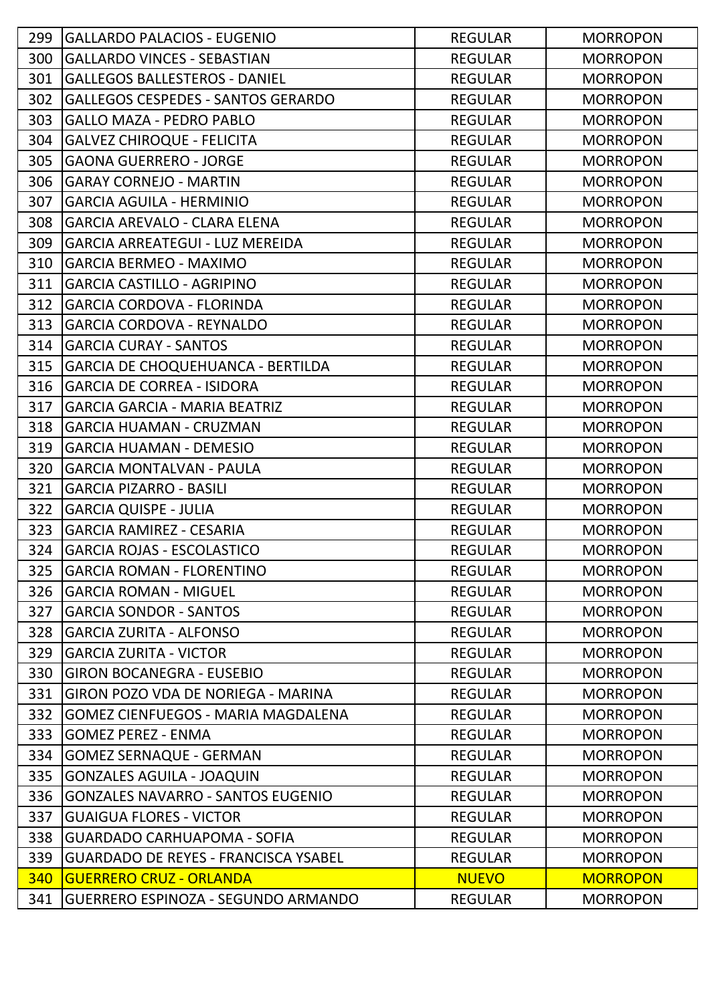| 299 | <b>GALLARDO PALACIOS - EUGENIO</b>          | <b>REGULAR</b> | <b>MORROPON</b> |
|-----|---------------------------------------------|----------------|-----------------|
| 300 | <b>GALLARDO VINCES - SEBASTIAN</b>          | <b>REGULAR</b> | <b>MORROPON</b> |
| 301 | <b>GALLEGOS BALLESTEROS - DANIEL</b>        | <b>REGULAR</b> | <b>MORROPON</b> |
| 302 | <b>GALLEGOS CESPEDES - SANTOS GERARDO</b>   | <b>REGULAR</b> | <b>MORROPON</b> |
| 303 | <b>GALLO MAZA - PEDRO PABLO</b>             | <b>REGULAR</b> | <b>MORROPON</b> |
| 304 | <b>GALVEZ CHIROQUE - FELICITA</b>           | <b>REGULAR</b> | <b>MORROPON</b> |
| 305 | <b>GAONA GUERRERO - JORGE</b>               | <b>REGULAR</b> | <b>MORROPON</b> |
| 306 | <b>GARAY CORNEJO - MARTIN</b>               | <b>REGULAR</b> | <b>MORROPON</b> |
| 307 | <b>GARCIA AGUILA - HERMINIO</b>             | <b>REGULAR</b> | <b>MORROPON</b> |
| 308 | <b>GARCIA AREVALO - CLARA ELENA</b>         | <b>REGULAR</b> | <b>MORROPON</b> |
| 309 | <b>GARCIA ARREATEGUI - LUZ MEREIDA</b>      | <b>REGULAR</b> | <b>MORROPON</b> |
| 310 | <b>GARCIA BERMEO - MAXIMO</b>               | <b>REGULAR</b> | <b>MORROPON</b> |
| 311 | <b>GARCIA CASTILLO - AGRIPINO</b>           | <b>REGULAR</b> | <b>MORROPON</b> |
| 312 | <b>GARCIA CORDOVA - FLORINDA</b>            | <b>REGULAR</b> | <b>MORROPON</b> |
| 313 | <b>GARCIA CORDOVA - REYNALDO</b>            | <b>REGULAR</b> | <b>MORROPON</b> |
| 314 | <b>GARCIA CURAY - SANTOS</b>                | <b>REGULAR</b> | <b>MORROPON</b> |
| 315 | <b>GARCIA DE CHOQUEHUANCA - BERTILDA</b>    | <b>REGULAR</b> | <b>MORROPON</b> |
| 316 | <b>GARCIA DE CORREA - ISIDORA</b>           | <b>REGULAR</b> | <b>MORROPON</b> |
| 317 | <b>GARCIA GARCIA - MARIA BEATRIZ</b>        | <b>REGULAR</b> | <b>MORROPON</b> |
| 318 | <b>GARCIA HUAMAN - CRUZMAN</b>              | <b>REGULAR</b> | <b>MORROPON</b> |
| 319 | <b>GARCIA HUAMAN - DEMESIO</b>              | <b>REGULAR</b> | <b>MORROPON</b> |
| 320 | <b>GARCIA MONTALVAN - PAULA</b>             | <b>REGULAR</b> | <b>MORROPON</b> |
| 321 | <b>GARCIA PIZARRO - BASILI</b>              | <b>REGULAR</b> | <b>MORROPON</b> |
| 322 | <b>GARCIA QUISPE - JULIA</b>                | <b>REGULAR</b> | <b>MORROPON</b> |
| 323 | <b>GARCIA RAMIREZ - CESARIA</b>             | <b>REGULAR</b> | <b>MORROPON</b> |
| 324 | <b>GARCIA ROJAS - ESCOLASTICO</b>           | <b>REGULAR</b> | <b>MORROPON</b> |
| 325 | <b>GARCIA ROMAN - FLORENTINO</b>            | <b>REGULAR</b> | <b>MORROPON</b> |
| 326 | <b>GARCIA ROMAN - MIGUEL</b>                | <b>REGULAR</b> | <b>MORROPON</b> |
| 327 | <b>GARCIA SONDOR - SANTOS</b>               | <b>REGULAR</b> | <b>MORROPON</b> |
| 328 | <b>GARCIA ZURITA - ALFONSO</b>              | <b>REGULAR</b> | <b>MORROPON</b> |
| 329 | <b>GARCIA ZURITA - VICTOR</b>               | <b>REGULAR</b> | <b>MORROPON</b> |
| 330 | <b>GIRON BOCANEGRA - EUSEBIO</b>            | <b>REGULAR</b> | <b>MORROPON</b> |
| 331 | GIRON POZO VDA DE NORIEGA - MARINA          | <b>REGULAR</b> | <b>MORROPON</b> |
| 332 | <b>GOMEZ CIENFUEGOS - MARIA MAGDALENA</b>   | <b>REGULAR</b> | <b>MORROPON</b> |
| 333 | <b>GOMEZ PEREZ - ENMA</b>                   | <b>REGULAR</b> | <b>MORROPON</b> |
| 334 | <b>GOMEZ SERNAQUE - GERMAN</b>              | <b>REGULAR</b> | <b>MORROPON</b> |
| 335 | <b>GONZALES AGUILA - JOAQUIN</b>            | <b>REGULAR</b> | <b>MORROPON</b> |
| 336 | <b>GONZALES NAVARRO - SANTOS EUGENIO</b>    | <b>REGULAR</b> | <b>MORROPON</b> |
| 337 | <b>GUAIGUA FLORES - VICTOR</b>              | <b>REGULAR</b> | <b>MORROPON</b> |
| 338 | <b>GUARDADO CARHUAPOMA - SOFIA</b>          | <b>REGULAR</b> | <b>MORROPON</b> |
| 339 | <b>GUARDADO DE REYES - FRANCISCA YSABEL</b> | <b>REGULAR</b> | <b>MORROPON</b> |
| 340 | <b>GUERRERO CRUZ - ORLANDA</b>              | <b>NUEVO</b>   | <b>MORROPON</b> |
| 341 | GUERRERO ESPINOZA - SEGUNDO ARMANDO         | <b>REGULAR</b> | <b>MORROPON</b> |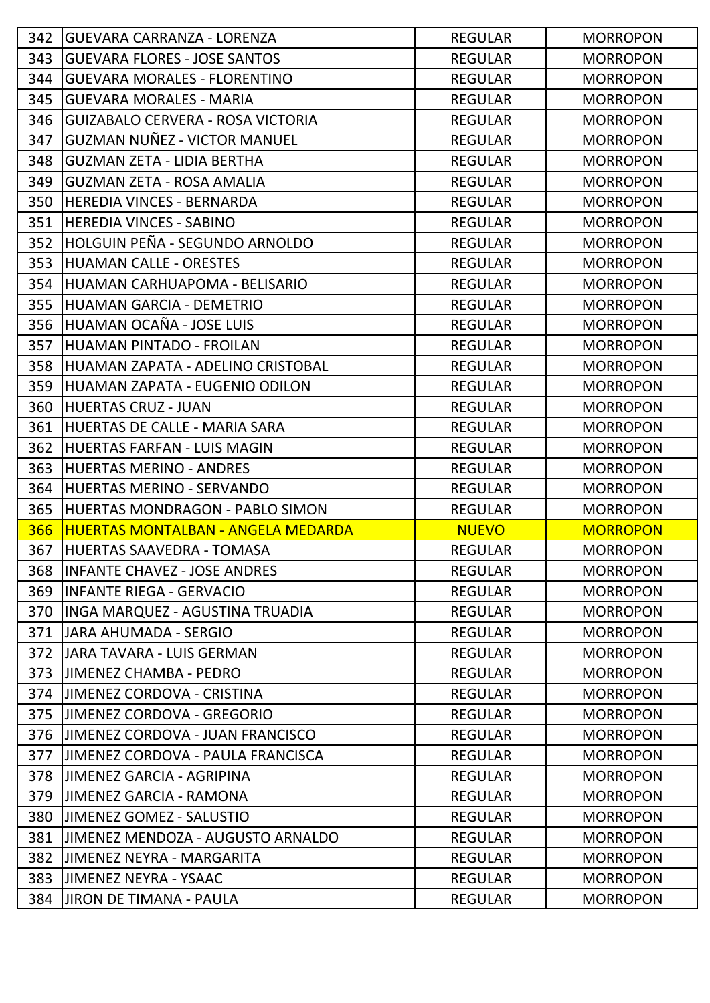| 342 | <b>GUEVARA CARRANZA - LORENZA</b>         | <b>REGULAR</b> | <b>MORROPON</b> |
|-----|-------------------------------------------|----------------|-----------------|
| 343 | <b>GUEVARA FLORES - JOSE SANTOS</b>       | <b>REGULAR</b> | <b>MORROPON</b> |
| 344 | <b>GUEVARA MORALES - FLORENTINO</b>       | <b>REGULAR</b> | <b>MORROPON</b> |
| 345 | <b>GUEVARA MORALES - MARIA</b>            | <b>REGULAR</b> | <b>MORROPON</b> |
| 346 | <b>GUIZABALO CERVERA - ROSA VICTORIA</b>  | <b>REGULAR</b> | <b>MORROPON</b> |
| 347 | GUZMAN NUÑEZ - VICTOR MANUEL              | <b>REGULAR</b> | <b>MORROPON</b> |
| 348 | <b>GUZMAN ZETA - LIDIA BERTHA</b>         | <b>REGULAR</b> | <b>MORROPON</b> |
| 349 | <b>GUZMAN ZETA - ROSA AMALIA</b>          | <b>REGULAR</b> | <b>MORROPON</b> |
| 350 | <b>HEREDIA VINCES - BERNARDA</b>          | <b>REGULAR</b> | <b>MORROPON</b> |
| 351 | <b>HEREDIA VINCES - SABINO</b>            | <b>REGULAR</b> | <b>MORROPON</b> |
| 352 | HOLGUIN PEÑA - SEGUNDO ARNOLDO            | <b>REGULAR</b> | <b>MORROPON</b> |
| 353 | <b>HUAMAN CALLE - ORESTES</b>             | <b>REGULAR</b> | <b>MORROPON</b> |
| 354 | HUAMAN CARHUAPOMA - BELISARIO             | <b>REGULAR</b> | <b>MORROPON</b> |
| 355 | HUAMAN GARCIA - DEMETRIO                  | <b>REGULAR</b> | <b>MORROPON</b> |
| 356 | HUAMAN OCAÑA - JOSE LUIS                  | <b>REGULAR</b> | <b>MORROPON</b> |
| 357 | HUAMAN PINTADO - FROILAN                  | <b>REGULAR</b> | <b>MORROPON</b> |
| 358 | HUAMAN ZAPATA - ADELINO CRISTOBAL         | <b>REGULAR</b> | <b>MORROPON</b> |
| 359 | HUAMAN ZAPATA - EUGENIO ODILON            | <b>REGULAR</b> | <b>MORROPON</b> |
| 360 | <b>HUERTAS CRUZ - JUAN</b>                | <b>REGULAR</b> | <b>MORROPON</b> |
| 361 | HUERTAS DE CALLE - MARIA SARA             | <b>REGULAR</b> | <b>MORROPON</b> |
| 362 | HUERTAS FARFAN - LUIS MAGIN               | <b>REGULAR</b> | <b>MORROPON</b> |
| 363 | <b>HUERTAS MERINO - ANDRES</b>            | <b>REGULAR</b> | <b>MORROPON</b> |
| 364 | <b>HUERTAS MERINO - SERVANDO</b>          | <b>REGULAR</b> | <b>MORROPON</b> |
| 365 | HUERTAS MONDRAGON - PABLO SIMON           | <b>REGULAR</b> | <b>MORROPON</b> |
| 366 | <b>HUERTAS MONTALBAN - ANGELA MEDARDA</b> | <b>NUEVO</b>   | <b>MORROPON</b> |
| 367 | HUERTAS SAAVEDRA - TOMASA                 |                |                 |
|     |                                           | <b>REGULAR</b> | <b>MORROPON</b> |
| 368 | <b>INFANTE CHAVEZ - JOSE ANDRES</b>       | <b>REGULAR</b> | <b>MORROPON</b> |
| 369 | INFANTE RIEGA - GERVACIO                  | <b>REGULAR</b> | <b>MORROPON</b> |
| 370 | IINGA MARQUEZ - AGUSTINA TRUADIA          | <b>REGULAR</b> | <b>MORROPON</b> |
| 371 | JJARA AHUMADA - SERGIO                    | <b>REGULAR</b> | <b>MORROPON</b> |
| 372 | JARA TAVARA - LUIS GERMAN                 | <b>REGULAR</b> | <b>MORROPON</b> |
| 373 | JIMENEZ CHAMBA - PEDRO                    | <b>REGULAR</b> | <b>MORROPON</b> |
| 374 | <b>JIMENEZ CORDOVA - CRISTINA</b>         | <b>REGULAR</b> | <b>MORROPON</b> |
| 375 | <b>JIMENEZ CORDOVA - GREGORIO</b>         | <b>REGULAR</b> | <b>MORROPON</b> |
| 376 | JIMENEZ CORDOVA - JUAN FRANCISCO          | <b>REGULAR</b> | <b>MORROPON</b> |
| 377 | JIMENEZ CORDOVA - PAULA FRANCISCA         | <b>REGULAR</b> | <b>MORROPON</b> |
| 378 | JIMENEZ GARCIA - AGRIPINA                 | <b>REGULAR</b> | <b>MORROPON</b> |
| 379 | JIMENEZ GARCIA - RAMONA                   | <b>REGULAR</b> | <b>MORROPON</b> |
| 380 | <b>JIMENEZ GOMEZ - SALUSTIO</b>           | <b>REGULAR</b> | <b>MORROPON</b> |
| 381 | JIMENEZ MENDOZA - AUGUSTO ARNALDO         | <b>REGULAR</b> | <b>MORROPON</b> |
| 382 | JIMENEZ NEYRA - MARGARITA                 | <b>REGULAR</b> | <b>MORROPON</b> |
| 383 | <b>JIMENEZ NEYRA - YSAAC</b>              | <b>REGULAR</b> | <b>MORROPON</b> |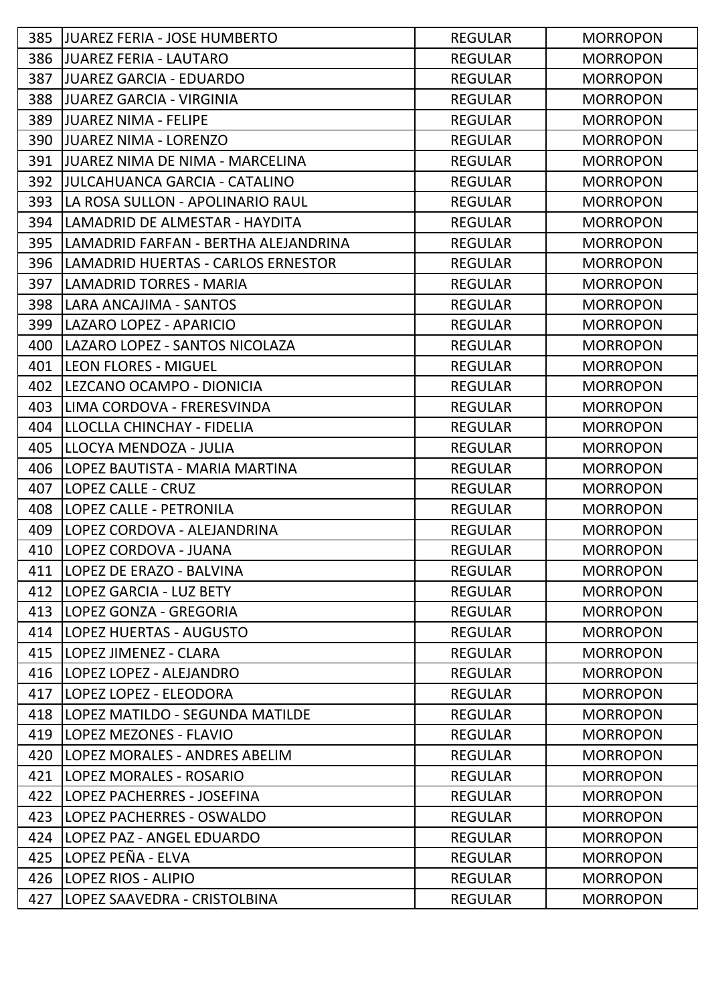| 385 | <b>JJUAREZ FERIA - JOSE HUMBERTO</b>      | <b>REGULAR</b> | <b>MORROPON</b> |
|-----|-------------------------------------------|----------------|-----------------|
| 386 | JUAREZ FERIA - LAUTARO                    | <b>REGULAR</b> | <b>MORROPON</b> |
| 387 | <b>JJUAREZ GARCIA - EDUARDO</b>           | <b>REGULAR</b> | <b>MORROPON</b> |
| 388 | IJUAREZ GARCIA - VIRGINIA                 | <b>REGULAR</b> | <b>MORROPON</b> |
| 389 | IJUAREZ NIMA - FELIPE                     | <b>REGULAR</b> | <b>MORROPON</b> |
| 390 | JUAREZ NIMA - LORENZO                     | <b>REGULAR</b> | <b>MORROPON</b> |
| 391 | IJUAREZ NIMA DE NIMA - MARCELINA          | <b>REGULAR</b> | <b>MORROPON</b> |
| 392 | JULCAHUANCA GARCIA - CATALINO             | <b>REGULAR</b> | <b>MORROPON</b> |
| 393 | LA ROSA SULLON - APOLINARIO RAUL          | <b>REGULAR</b> | <b>MORROPON</b> |
| 394 | llaMADRID DE ALMESTAR - HAYDITA           | <b>REGULAR</b> | <b>MORROPON</b> |
| 395 | LAMADRID FARFAN - BERTHA ALEJANDRINA      | <b>REGULAR</b> | <b>MORROPON</b> |
| 396 | <b>LAMADRID HUERTAS - CARLOS ERNESTOR</b> | <b>REGULAR</b> | <b>MORROPON</b> |
| 397 | <b>LAMADRID TORRES - MARIA</b>            | <b>REGULAR</b> | <b>MORROPON</b> |
| 398 | LARA ANCAJIMA - SANTOS                    | <b>REGULAR</b> | <b>MORROPON</b> |
| 399 | LAZARO LOPEZ - APARICIO                   | <b>REGULAR</b> | <b>MORROPON</b> |
| 400 | LAZARO LOPEZ - SANTOS NICOLAZA            | <b>REGULAR</b> | <b>MORROPON</b> |
| 401 | <b>LEON FLORES - MIGUEL</b>               | <b>REGULAR</b> | <b>MORROPON</b> |
| 402 | LEZCANO OCAMPO - DIONICIA                 | <b>REGULAR</b> | <b>MORROPON</b> |
| 403 | LIMA CORDOVA - FRERESVINDA                | <b>REGULAR</b> | <b>MORROPON</b> |
| 404 | LLOCLLA CHINCHAY - FIDELIA                | <b>REGULAR</b> | <b>MORROPON</b> |
| 405 | LLOCYA MENDOZA - JULIA                    | <b>REGULAR</b> | <b>MORROPON</b> |
| 406 | LOPEZ BAUTISTA - MARIA MARTINA            | <b>REGULAR</b> | <b>MORROPON</b> |
| 407 | LOPEZ CALLE - CRUZ                        | <b>REGULAR</b> | <b>MORROPON</b> |
| 408 | <b>LOPEZ CALLE - PETRONILA</b>            | <b>REGULAR</b> | <b>MORROPON</b> |
| 409 | LOPEZ CORDOVA - ALEJANDRINA               | <b>REGULAR</b> | <b>MORROPON</b> |
| 410 | LOPEZ CORDOVA - JUANA                     | <b>REGULAR</b> | <b>MORROPON</b> |
| 411 | <b>LOPEZ DE ERAZO - BALVINA</b>           | <b>REGULAR</b> | <b>MORROPON</b> |
| 412 | <b>LOPEZ GARCIA - LUZ BETY</b>            | <b>REGULAR</b> | <b>MORROPON</b> |
| 413 | LOPEZ GONZA - GREGORIA                    | <b>REGULAR</b> | <b>MORROPON</b> |
| 414 | <b>LOPEZ HUERTAS - AUGUSTO</b>            | <b>REGULAR</b> | <b>MORROPON</b> |
| 415 | LOPEZ JIMENEZ - CLARA                     | <b>REGULAR</b> | <b>MORROPON</b> |
| 416 | LOPEZ LOPEZ - ALEJANDRO                   | <b>REGULAR</b> | <b>MORROPON</b> |
| 417 | LOPEZ LOPEZ - ELEODORA                    | <b>REGULAR</b> | <b>MORROPON</b> |
| 418 | LOPEZ MATILDO - SEGUNDA MATILDE           | <b>REGULAR</b> | <b>MORROPON</b> |
| 419 | <b>LOPEZ MEZONES - FLAVIO</b>             | <b>REGULAR</b> | <b>MORROPON</b> |
| 420 | <b>LOPEZ MORALES - ANDRES ABELIM</b>      | <b>REGULAR</b> | <b>MORROPON</b> |
| 421 | <b>LOPEZ MORALES - ROSARIO</b>            | <b>REGULAR</b> | <b>MORROPON</b> |
| 422 | LOPEZ PACHERRES - JOSEFINA                | <b>REGULAR</b> | <b>MORROPON</b> |
| 423 | LOPEZ PACHERRES - OSWALDO                 | <b>REGULAR</b> | <b>MORROPON</b> |
| 424 | LOPEZ PAZ - ANGEL EDUARDO                 | <b>REGULAR</b> | <b>MORROPON</b> |
| 425 | LOPEZ PEÑA - ELVA                         | <b>REGULAR</b> | <b>MORROPON</b> |
| 426 | <b>LOPEZ RIOS - ALIPIO</b>                | <b>REGULAR</b> | <b>MORROPON</b> |
| 427 | LOPEZ SAAVEDRA - CRISTOLBINA              | <b>REGULAR</b> | <b>MORROPON</b> |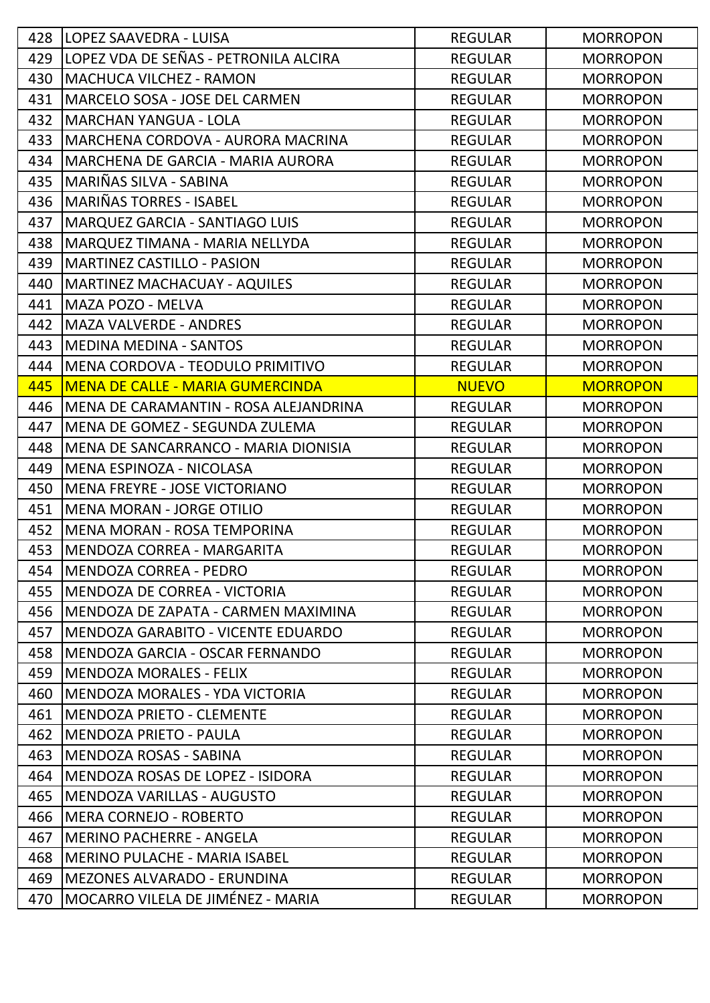| 428 | <b>LOPEZ SAAVEDRA - LUISA</b>               | <b>REGULAR</b> | <b>MORROPON</b> |
|-----|---------------------------------------------|----------------|-----------------|
| 429 | LOPEZ VDA DE SEÑAS - PETRONILA ALCIRA       | <b>REGULAR</b> | <b>MORROPON</b> |
| 430 | <b>MACHUCA VILCHEZ - RAMON</b>              | <b>REGULAR</b> | <b>MORROPON</b> |
| 431 | MARCELO SOSA - JOSE DEL CARMEN              | <b>REGULAR</b> | <b>MORROPON</b> |
| 432 | <b>MARCHAN YANGUA - LOLA</b>                | <b>REGULAR</b> | <b>MORROPON</b> |
| 433 | MARCHENA CORDOVA - AURORA MACRINA           | <b>REGULAR</b> | <b>MORROPON</b> |
| 434 | MARCHENA DE GARCIA - MARIA AURORA           | <b>REGULAR</b> | <b>MORROPON</b> |
| 435 | MARIÑAS SILVA - SABINA                      | <b>REGULAR</b> | <b>MORROPON</b> |
| 436 | MARIÑAS TORRES - ISABEL                     | <b>REGULAR</b> | <b>MORROPON</b> |
| 437 | <b>MARQUEZ GARCIA - SANTIAGO LUIS</b>       | <b>REGULAR</b> | <b>MORROPON</b> |
| 438 | MARQUEZ TIMANA - MARIA NELLYDA              | <b>REGULAR</b> | <b>MORROPON</b> |
| 439 | <b>MARTINEZ CASTILLO - PASION</b>           | <b>REGULAR</b> | <b>MORROPON</b> |
| 440 | <b>MARTINEZ MACHACUAY - AQUILES</b>         | <b>REGULAR</b> | <b>MORROPON</b> |
| 441 | <b>MAZA POZO - MELVA</b>                    | <b>REGULAR</b> | <b>MORROPON</b> |
| 442 | <b>MAZA VALVERDE - ANDRES</b>               | <b>REGULAR</b> | <b>MORROPON</b> |
| 443 | MEDINA MEDINA - SANTOS                      | <b>REGULAR</b> | <b>MORROPON</b> |
| 444 | MENA CORDOVA - TEODULO PRIMITIVO            | <b>REGULAR</b> | <b>MORROPON</b> |
| 445 | <b>MENA DE CALLE - MARIA GUMERCINDA</b>     | <b>NUEVO</b>   | <b>MORROPON</b> |
| 446 | MENA DE CARAMANTIN - ROSA ALEJANDRINA       | <b>REGULAR</b> | <b>MORROPON</b> |
| 447 | MENA DE GOMEZ - SEGUNDA ZULEMA              | <b>REGULAR</b> | <b>MORROPON</b> |
| 448 | MENA DE SANCARRANCO - MARIA DIONISIA        | <b>REGULAR</b> | <b>MORROPON</b> |
| 449 | MENA ESPINOZA - NICOLASA                    | <b>REGULAR</b> | <b>MORROPON</b> |
| 450 | <b>IMENA FREYRE - JOSE VICTORIANO</b>       | <b>REGULAR</b> | <b>MORROPON</b> |
| 451 | <b>MENA MORAN - JORGE OTILIO</b>            | <b>REGULAR</b> | <b>MORROPON</b> |
| 452 | MENA MORAN - ROSA TEMPORINA                 | <b>REGULAR</b> | <b>MORROPON</b> |
| 453 | MENDOZA CORREA - MARGARITA                  | <b>REGULAR</b> | <b>MORROPON</b> |
| 454 | <b>IMENDOZA CORREA - PEDRO</b>              | <b>REGULAR</b> | <b>MORROPON</b> |
| 455 | <b>IMENDOZA DE CORREA - VICTORIA</b>        | <b>REGULAR</b> | <b>MORROPON</b> |
| 456 | <b>IMENDOZA DE ZAPATA - CARMEN MAXIMINA</b> | <b>REGULAR</b> | <b>MORROPON</b> |
| 457 | MENDOZA GARABITO - VICENTE EDUARDO          | <b>REGULAR</b> | <b>MORROPON</b> |
| 458 | MENDOZA GARCIA - OSCAR FERNANDO             | <b>REGULAR</b> | <b>MORROPON</b> |
| 459 | <b>IMENDOZA MORALES - FELIX</b>             | <b>REGULAR</b> | <b>MORROPON</b> |
| 460 | <b>MENDOZA MORALES - YDA VICTORIA</b>       | <b>REGULAR</b> | <b>MORROPON</b> |
| 461 | MENDOZA PRIETO - CLEMENTE                   | <b>REGULAR</b> | <b>MORROPON</b> |
| 462 | MENDOZA PRIETO - PAULA                      | <b>REGULAR</b> | <b>MORROPON</b> |
| 463 | <b>MENDOZA ROSAS - SABINA</b>               | <b>REGULAR</b> | <b>MORROPON</b> |
| 464 | MENDOZA ROSAS DE LOPEZ - ISIDORA            | <b>REGULAR</b> | <b>MORROPON</b> |
| 465 | <b>IMENDOZA VARILLAS - AUGUSTO</b>          | <b>REGULAR</b> | <b>MORROPON</b> |
| 466 | <b>MERA CORNEJO - ROBERTO</b>               | <b>REGULAR</b> | <b>MORROPON</b> |
| 467 | <b>MERINO PACHERRE - ANGELA</b>             | <b>REGULAR</b> | <b>MORROPON</b> |
| 468 | <b>MERINO PULACHE - MARIA ISABEL</b>        | <b>REGULAR</b> | <b>MORROPON</b> |
| 469 | MEZONES ALVARADO - ERUNDINA                 | <b>REGULAR</b> | <b>MORROPON</b> |
| 470 | MOCARRO VILELA DE JIMÉNEZ - MARIA           | <b>REGULAR</b> | <b>MORROPON</b> |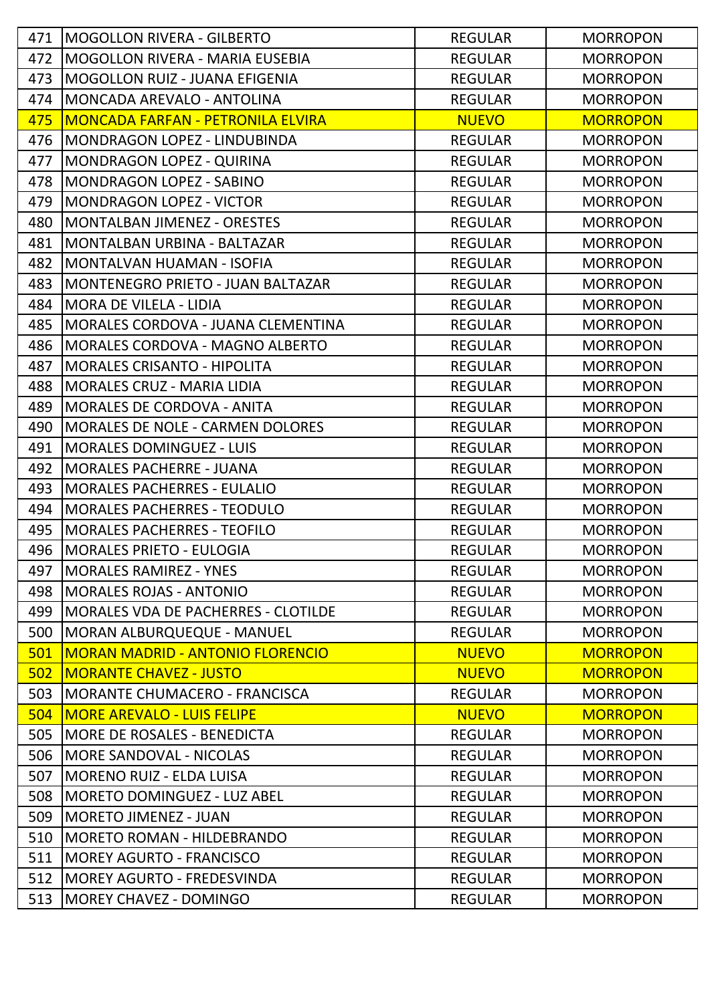| 471 | <b>IMOGOLLON RIVERA - GILBERTO</b>       | <b>REGULAR</b> | <b>MORROPON</b> |
|-----|------------------------------------------|----------------|-----------------|
| 472 | <b>MOGOLLON RIVERA - MARIA EUSEBIA</b>   | <b>REGULAR</b> | <b>MORROPON</b> |
| 473 | IMOGOLLON RUIZ - JUANA EFIGENIA          | <b>REGULAR</b> | <b>MORROPON</b> |
| 474 | MONCADA AREVALO - ANTOLINA               | <b>REGULAR</b> | <b>MORROPON</b> |
| 475 | <b>MONCADA FARFAN - PETRONILA ELVIRA</b> | <b>NUEVO</b>   | <b>MORROPON</b> |
| 476 | MONDRAGON LOPEZ - LINDUBINDA             | <b>REGULAR</b> | <b>MORROPON</b> |
| 477 | <b>MONDRAGON LOPEZ - QUIRINA</b>         | <b>REGULAR</b> | <b>MORROPON</b> |
| 478 | MONDRAGON LOPEZ - SABINO                 | <b>REGULAR</b> | <b>MORROPON</b> |
| 479 | <b>MONDRAGON LOPEZ - VICTOR</b>          | <b>REGULAR</b> | <b>MORROPON</b> |
| 480 | <b>MONTALBAN JIMENEZ - ORESTES</b>       | <b>REGULAR</b> | <b>MORROPON</b> |
| 481 | MONTALBAN URBINA - BALTAZAR              | <b>REGULAR</b> | <b>MORROPON</b> |
| 482 | MONTALVAN HUAMAN - ISOFIA                | <b>REGULAR</b> | <b>MORROPON</b> |
| 483 | MONTENEGRO PRIETO - JUAN BALTAZAR        | <b>REGULAR</b> | <b>MORROPON</b> |
| 484 | <b>MORA DE VILELA - LIDIA</b>            | <b>REGULAR</b> | <b>MORROPON</b> |
| 485 | MORALES CORDOVA - JUANA CLEMENTINA       | <b>REGULAR</b> | <b>MORROPON</b> |
| 486 | <b>MORALES CORDOVA - MAGNO ALBERTO</b>   | <b>REGULAR</b> | <b>MORROPON</b> |
| 487 | <b>MORALES CRISANTO - HIPOLITA</b>       | <b>REGULAR</b> | <b>MORROPON</b> |
| 488 | <b>MORALES CRUZ - MARIA LIDIA</b>        | <b>REGULAR</b> | <b>MORROPON</b> |
| 489 | <b>MORALES DE CORDOVA - ANITA</b>        | <b>REGULAR</b> | <b>MORROPON</b> |
| 490 | <b>MORALES DE NOLE - CARMEN DOLORES</b>  | <b>REGULAR</b> | <b>MORROPON</b> |
| 491 | <b>MORALES DOMINGUEZ - LUIS</b>          | <b>REGULAR</b> | <b>MORROPON</b> |
| 492 | <b>MORALES PACHERRE - JUANA</b>          | <b>REGULAR</b> | <b>MORROPON</b> |
| 493 | <b>MORALES PACHERRES - EULALIO</b>       | <b>REGULAR</b> | <b>MORROPON</b> |
| 494 | <b>MORALES PACHERRES - TEODULO</b>       | <b>REGULAR</b> | <b>MORROPON</b> |
| 495 | <b>MORALES PACHERRES - TEOFILO</b>       | <b>REGULAR</b> | <b>MORROPON</b> |
| 496 | MORALES PRIETO - EULOGIA                 | <b>REGULAR</b> | <b>MORROPON</b> |
| 497 | <b>IMORALES RAMIREZ - YNES</b>           | <b>REGULAR</b> | <b>MORROPON</b> |
| 498 | <b>IMORALES ROJAS - ANTONIO</b>          | <b>REGULAR</b> | <b>MORROPON</b> |
| 499 | IMORALES VDA DE PACHERRES - CLOTILDE     | <b>REGULAR</b> | <b>MORROPON</b> |
| 500 | MORAN ALBURQUEQUE - MANUEL               | <b>REGULAR</b> | <b>MORROPON</b> |
| 501 | <b>MORAN MADRID - ANTONIO FLORENCIO</b>  | <b>NUEVO</b>   | <b>MORROPON</b> |
| 502 | <b>MORANTE CHAVEZ - JUSTO</b>            | <b>NUEVO</b>   | <b>MORROPON</b> |
| 503 | IMORANTE CHUMACERO - FRANCISCA           | <b>REGULAR</b> | <b>MORROPON</b> |
| 504 | <b>MORE AREVALO - LUIS FELIPE</b>        | <b>NUEVO</b>   | <b>MORROPON</b> |
| 505 | <b>MORE DE ROSALES - BENEDICTA</b>       | <b>REGULAR</b> | <b>MORROPON</b> |
| 506 | <b>IMORE SANDOVAL - NICOLAS</b>          | <b>REGULAR</b> | <b>MORROPON</b> |
| 507 | MORENO RUIZ - ELDA LUISA                 | <b>REGULAR</b> | <b>MORROPON</b> |
| 508 | <b>MORETO DOMINGUEZ - LUZ ABEL</b>       | <b>REGULAR</b> | <b>MORROPON</b> |
| 509 | <b>MORETO JIMENEZ - JUAN</b>             | <b>REGULAR</b> | <b>MORROPON</b> |
| 510 | <b>MORETO ROMAN - HILDEBRANDO</b>        | <b>REGULAR</b> | <b>MORROPON</b> |
| 511 | <b>MOREY AGURTO - FRANCISCO</b>          | <b>REGULAR</b> | <b>MORROPON</b> |
| 512 | MOREY AGURTO - FREDESVINDA               | <b>REGULAR</b> | <b>MORROPON</b> |
| 513 | MOREY CHAVEZ - DOMINGO                   | <b>REGULAR</b> | <b>MORROPON</b> |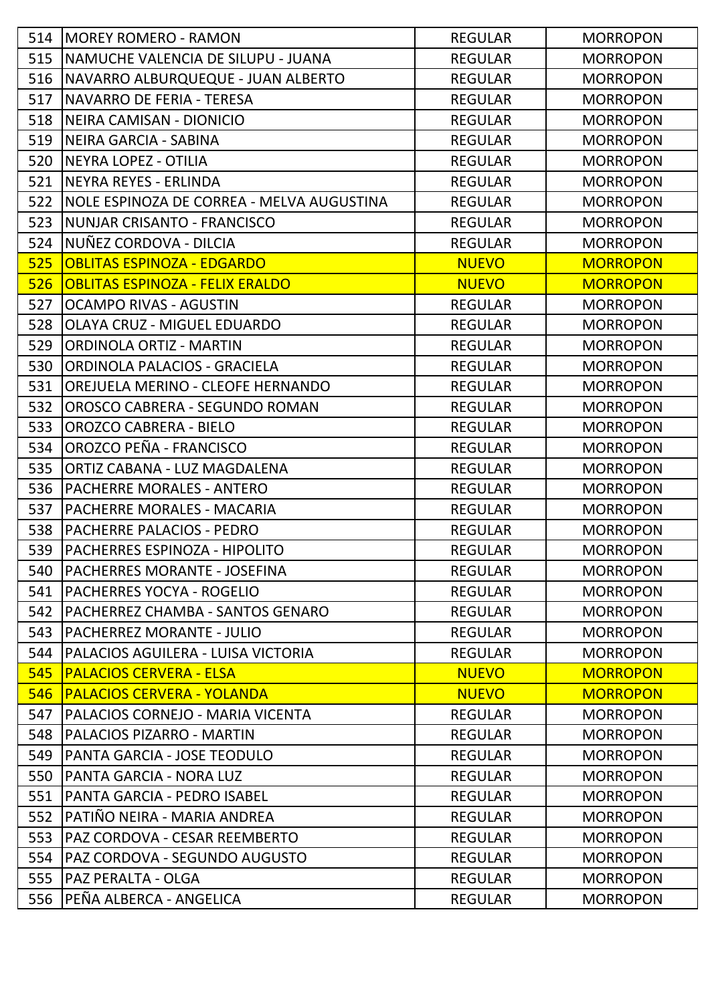|     | 514   MOREY ROMERO - RAMON                | <b>REGULAR</b> | <b>MORROPON</b> |
|-----|-------------------------------------------|----------------|-----------------|
| 515 | INAMUCHE VALENCIA DE SILUPU - JUANA       | <b>REGULAR</b> | <b>MORROPON</b> |
| 516 | NAVARRO ALBURQUEQUE - JUAN ALBERTO        | <b>REGULAR</b> | <b>MORROPON</b> |
| 517 | INAVARRO DE FERIA - TERESA                | <b>REGULAR</b> | <b>MORROPON</b> |
| 518 | <b>INEIRA CAMISAN - DIONICIO</b>          | <b>REGULAR</b> | <b>MORROPON</b> |
| 519 | NEIRA GARCIA - SABINA                     | <b>REGULAR</b> | <b>MORROPON</b> |
| 520 | NEYRA LOPEZ - OTILIA                      | <b>REGULAR</b> | <b>MORROPON</b> |
| 521 | NEYRA REYES - ERLINDA                     | <b>REGULAR</b> | <b>MORROPON</b> |
| 522 | NOLE ESPINOZA DE CORREA - MELVA AUGUSTINA | <b>REGULAR</b> | <b>MORROPON</b> |
| 523 | NUNJAR CRISANTO - FRANCISCO               | <b>REGULAR</b> | <b>MORROPON</b> |
| 524 | NUÑEZ CORDOVA - DILCIA                    | <b>REGULAR</b> | <b>MORROPON</b> |
| 525 | <b>OBLITAS ESPINOZA - EDGARDO</b>         | <b>NUEVO</b>   | <b>MORROPON</b> |
| 526 | <b>OBLITAS ESPINOZA - FELIX ERALDO</b>    | <b>NUEVO</b>   | <b>MORROPON</b> |
| 527 | <b>OCAMPO RIVAS - AGUSTIN</b>             | <b>REGULAR</b> | <b>MORROPON</b> |
| 528 | <b>OLAYA CRUZ - MIGUEL EDUARDO</b>        | <b>REGULAR</b> | <b>MORROPON</b> |
| 529 | ORDINOLA ORTIZ - MARTIN                   | <b>REGULAR</b> | <b>MORROPON</b> |
| 530 | ORDINOLA PALACIOS - GRACIELA              | <b>REGULAR</b> | <b>MORROPON</b> |
| 531 | OREJUELA MERINO - CLEOFE HERNANDO         | <b>REGULAR</b> | <b>MORROPON</b> |
| 532 | OROSCO CABRERA - SEGUNDO ROMAN            | <b>REGULAR</b> | <b>MORROPON</b> |
| 533 | <b>OROZCO CABRERA - BIELO</b>             | <b>REGULAR</b> | <b>MORROPON</b> |
| 534 | OROZCO PEÑA - FRANCISCO                   | <b>REGULAR</b> | <b>MORROPON</b> |
| 535 | ORTIZ CABANA - LUZ MAGDALENA              | <b>REGULAR</b> | <b>MORROPON</b> |
| 536 | <b>PACHERRE MORALES - ANTERO</b>          | <b>REGULAR</b> | <b>MORROPON</b> |
| 537 | PACHERRE MORALES - MACARIA                | <b>REGULAR</b> | <b>MORROPON</b> |
| 538 | PACHERRE PALACIOS - PEDRO                 | <b>REGULAR</b> | <b>MORROPON</b> |
| 539 | <b>PACHERRES ESPINOZA - HIPOLITO</b>      | <b>REGULAR</b> | <b>MORROPON</b> |
| 540 | <b>IPACHERRES MORANTE - JOSEFINA</b>      | <b>REGULAR</b> | <b>MORROPON</b> |
| 541 | PACHERRES YOCYA - ROGELIO                 | <b>REGULAR</b> | <b>MORROPON</b> |
| 542 | IPACHERREZ CHAMBA - SANTOS GENARO         | <b>REGULAR</b> | <b>MORROPON</b> |
| 543 | PACHERREZ MORANTE - JULIO                 | <b>REGULAR</b> | <b>MORROPON</b> |
| 544 | PALACIOS AGUILERA - LUISA VICTORIA        | <b>REGULAR</b> | <b>MORROPON</b> |
| 545 | <b>PALACIOS CERVERA - ELSA</b>            | <b>NUEVO</b>   | <b>MORROPON</b> |
| 546 | <b>PALACIOS CERVERA - YOLANDA</b>         | <b>NUEVO</b>   | <b>MORROPON</b> |
| 547 | PALACIOS CORNEJO - MARIA VICENTA          | <b>REGULAR</b> | <b>MORROPON</b> |
| 548 | PALACIOS PIZARRO - MARTIN                 | <b>REGULAR</b> | <b>MORROPON</b> |
| 549 | PANTA GARCIA - JOSE TEODULO               | <b>REGULAR</b> | <b>MORROPON</b> |
| 550 | PANTA GARCIA - NORA LUZ                   | <b>REGULAR</b> | <b>MORROPON</b> |
| 551 | IPANTA GARCIA - PEDRO ISABEL              | <b>REGULAR</b> | <b>MORROPON</b> |
| 552 | IPATIÑO NEIRA - MARIA ANDREA              | <b>REGULAR</b> | <b>MORROPON</b> |
| 553 | PAZ CORDOVA - CESAR REEMBERTO             | <b>REGULAR</b> | <b>MORROPON</b> |
| 554 | PAZ CORDOVA - SEGUNDO AUGUSTO             | <b>REGULAR</b> | <b>MORROPON</b> |
| 555 | PAZ PERALTA - OLGA                        | <b>REGULAR</b> | <b>MORROPON</b> |
| 556 | PEÑA ALBERCA - ANGELICA                   | <b>REGULAR</b> | <b>MORROPON</b> |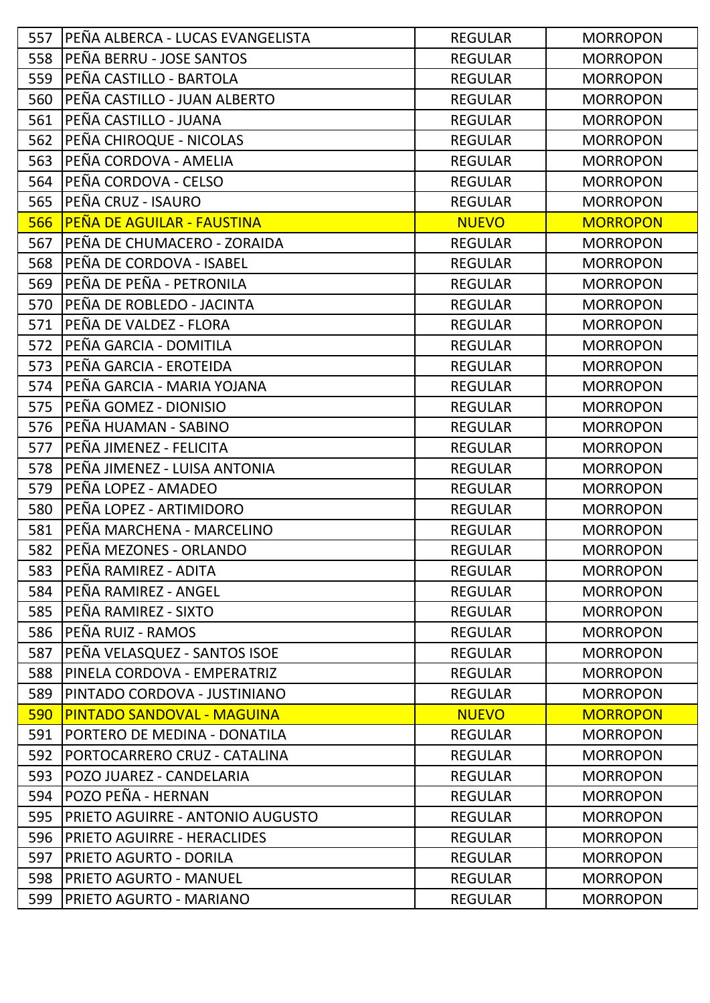| 557 | <b>IPEÑA ALBERCA - LUCAS EVANGELISTA</b> | <b>REGULAR</b> | <b>MORROPON</b> |
|-----|------------------------------------------|----------------|-----------------|
| 558 | PEÑA BERRU - JOSE SANTOS                 | <b>REGULAR</b> | <b>MORROPON</b> |
| 559 | PEÑA CASTILLO - BARTOLA                  | <b>REGULAR</b> | <b>MORROPON</b> |
| 560 | PEÑA CASTILLO - JUAN ALBERTO             | <b>REGULAR</b> | <b>MORROPON</b> |
| 561 | PEÑA CASTILLO - JUANA                    | <b>REGULAR</b> | <b>MORROPON</b> |
| 562 | PEÑA CHIROQUE - NICOLAS                  | <b>REGULAR</b> | <b>MORROPON</b> |
| 563 | PEÑA CORDOVA - AMELIA                    | <b>REGULAR</b> | <b>MORROPON</b> |
| 564 | PEÑA CORDOVA - CELSO                     | <b>REGULAR</b> | <b>MORROPON</b> |
| 565 | PEÑA CRUZ - ISAURO                       | <b>REGULAR</b> | <b>MORROPON</b> |
| 566 | <b>PEÑA DE AGUILAR - FAUSTINA</b>        | <b>NUEVO</b>   | <b>MORROPON</b> |
| 567 | PEÑA DE CHUMACERO - ZORAIDA              | <b>REGULAR</b> | <b>MORROPON</b> |
| 568 | PEÑA DE CORDOVA - ISABEL                 | <b>REGULAR</b> | <b>MORROPON</b> |
| 569 | PEÑA DE PEÑA - PETRONILA                 | <b>REGULAR</b> | <b>MORROPON</b> |
| 570 | PEÑA DE ROBLEDO - JACINTA                | <b>REGULAR</b> | <b>MORROPON</b> |
| 571 | PEÑA DE VALDEZ - FLORA                   | <b>REGULAR</b> | <b>MORROPON</b> |
| 572 | PEÑA GARCIA - DOMITILA                   | <b>REGULAR</b> | <b>MORROPON</b> |
| 573 | PEÑA GARCIA - EROTEIDA                   | <b>REGULAR</b> | <b>MORROPON</b> |
| 574 | PEÑA GARCIA - MARIA YOJANA               | <b>REGULAR</b> | <b>MORROPON</b> |
| 575 | PEÑA GOMEZ - DIONISIO                    | <b>REGULAR</b> | <b>MORROPON</b> |
| 576 | PEÑA HUAMAN - SABINO                     | <b>REGULAR</b> | <b>MORROPON</b> |
| 577 | PEÑA JIMENEZ - FELICITA                  | <b>REGULAR</b> | <b>MORROPON</b> |
| 578 | PEÑA JIMENEZ - LUISA ANTONIA             | <b>REGULAR</b> | <b>MORROPON</b> |
| 579 | PEÑA LOPEZ - AMADEO                      | <b>REGULAR</b> | <b>MORROPON</b> |
| 580 | PEÑA LOPEZ - ARTIMIDORO                  | <b>REGULAR</b> | <b>MORROPON</b> |
| 581 | PEÑA MARCHENA - MARCELINO                | <b>REGULAR</b> | <b>MORROPON</b> |
| 582 | PEÑA MEZONES - ORLANDO                   | <b>REGULAR</b> | <b>MORROPON</b> |
| 583 | PEÑA RAMIREZ - ADITA                     | <b>REGULAR</b> | <b>MORROPON</b> |
| 584 | <b>PEÑA RAMIREZ - ANGEL</b>              | <b>REGULAR</b> | <b>MORROPON</b> |
| 585 | <b>IPEÑA RAMIREZ - SIXTO</b>             | <b>REGULAR</b> | <b>MORROPON</b> |
| 586 | <b>IPEÑA RUIZ - RAMOS</b>                | <b>REGULAR</b> | <b>MORROPON</b> |
| 587 | PEÑA VELASQUEZ - SANTOS ISOE             | <b>REGULAR</b> | <b>MORROPON</b> |
| 588 | PINELA CORDOVA - EMPERATRIZ              | <b>REGULAR</b> | <b>MORROPON</b> |
| 589 | PINTADO CORDOVA - JUSTINIANO             | <b>REGULAR</b> | <b>MORROPON</b> |
| 590 | <b>PINTADO SANDOVAL - MAGUINA</b>        | <b>NUEVO</b>   | <b>MORROPON</b> |
| 591 | PORTERO DE MEDINA - DONATILA             | <b>REGULAR</b> | <b>MORROPON</b> |
| 592 | PORTOCARRERO CRUZ - CATALINA             | <b>REGULAR</b> | <b>MORROPON</b> |
| 593 | POZO JUAREZ - CANDELARIA                 | <b>REGULAR</b> | <b>MORROPON</b> |
| 594 | POZO PEÑA - HERNAN                       | <b>REGULAR</b> | <b>MORROPON</b> |
| 595 | PRIETO AGUIRRE - ANTONIO AUGUSTO         | <b>REGULAR</b> | <b>MORROPON</b> |
| 596 | <b>PRIETO AGUIRRE - HERACLIDES</b>       | <b>REGULAR</b> | <b>MORROPON</b> |
| 597 | <b>PRIETO AGURTO - DORILA</b>            | <b>REGULAR</b> | <b>MORROPON</b> |
| 598 | <b>PRIETO AGURTO - MANUEL</b>            | <b>REGULAR</b> | <b>MORROPON</b> |
| 599 | PRIETO AGURTO - MARIANO                  | <b>REGULAR</b> | <b>MORROPON</b> |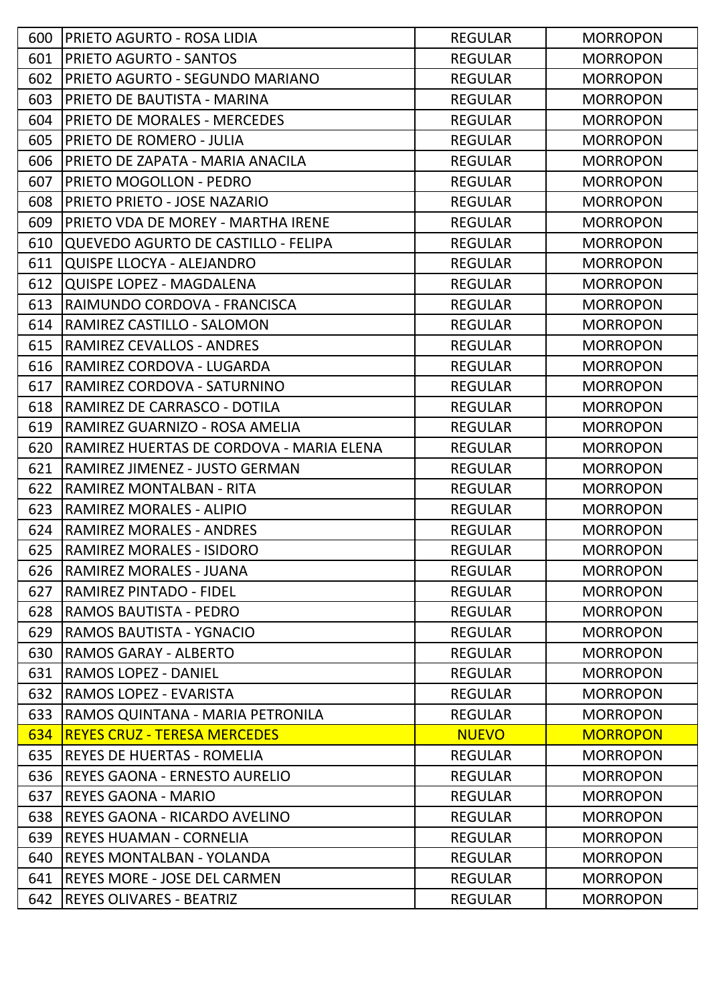| 600 | <b>PRIETO AGURTO - ROSA LIDIA</b>        | <b>REGULAR</b> | <b>MORROPON</b> |
|-----|------------------------------------------|----------------|-----------------|
| 601 | <b>PRIETO AGURTO - SANTOS</b>            | <b>REGULAR</b> | <b>MORROPON</b> |
| 602 | PRIETO AGURTO - SEGUNDO MARIANO          | <b>REGULAR</b> | <b>MORROPON</b> |
| 603 | <b>PRIETO DE BAUTISTA - MARINA</b>       | <b>REGULAR</b> | <b>MORROPON</b> |
| 604 | <b>PRIETO DE MORALES - MERCEDES</b>      | <b>REGULAR</b> | <b>MORROPON</b> |
| 605 | <b>PRIETO DE ROMERO - JULIA</b>          | <b>REGULAR</b> | <b>MORROPON</b> |
| 606 | PRIETO DE ZAPATA - MARIA ANACILA         | <b>REGULAR</b> | <b>MORROPON</b> |
| 607 | <b>PRIETO MOGOLLON - PEDRO</b>           | <b>REGULAR</b> | <b>MORROPON</b> |
| 608 | PRIETO PRIETO - JOSE NAZARIO             | <b>REGULAR</b> | <b>MORROPON</b> |
| 609 | PRIETO VDA DE MOREY - MARTHA IRENE       | <b>REGULAR</b> | <b>MORROPON</b> |
| 610 | QUEVEDO AGURTO DE CASTILLO - FELIPA      | <b>REGULAR</b> | <b>MORROPON</b> |
| 611 | <b>QUISPE LLOCYA - ALEJANDRO</b>         | <b>REGULAR</b> | <b>MORROPON</b> |
| 612 | <b>QUISPE LOPEZ - MAGDALENA</b>          | <b>REGULAR</b> | <b>MORROPON</b> |
| 613 | RAIMUNDO CORDOVA - FRANCISCA             | <b>REGULAR</b> | <b>MORROPON</b> |
| 614 | RAMIREZ CASTILLO - SALOMON               | <b>REGULAR</b> | <b>MORROPON</b> |
| 615 | <b>RAMIREZ CEVALLOS - ANDRES</b>         | <b>REGULAR</b> | <b>MORROPON</b> |
| 616 | RAMIREZ CORDOVA - LUGARDA                | <b>REGULAR</b> | <b>MORROPON</b> |
| 617 | RAMIREZ CORDOVA - SATURNINO              | <b>REGULAR</b> | <b>MORROPON</b> |
| 618 | RAMIREZ DE CARRASCO - DOTILA             | <b>REGULAR</b> | <b>MORROPON</b> |
| 619 | RAMIREZ GUARNIZO - ROSA AMELIA           | <b>REGULAR</b> | <b>MORROPON</b> |
| 620 | RAMIREZ HUERTAS DE CORDOVA - MARIA ELENA | <b>REGULAR</b> | <b>MORROPON</b> |
| 621 | RAMIREZ JIMENEZ - JUSTO GERMAN           | <b>REGULAR</b> | <b>MORROPON</b> |
| 622 | RAMIREZ MONTALBAN - RITA                 | <b>REGULAR</b> | <b>MORROPON</b> |
| 623 | <b>RAMIREZ MORALES - ALIPIO</b>          | <b>REGULAR</b> | <b>MORROPON</b> |
| 624 | <b>RAMIREZ MORALES - ANDRES</b>          | <b>REGULAR</b> | <b>MORROPON</b> |
| 625 | <b>RAMIREZ MORALES - ISIDORO</b>         | <b>REGULAR</b> | <b>MORROPON</b> |
| 626 | <b>RAMIREZ MORALES - JUANA</b>           | <b>REGULAR</b> | <b>MORROPON</b> |
| 627 | <b>RAMIREZ PINTADO - FIDEL</b>           | <b>REGULAR</b> | <b>MORROPON</b> |
| 628 | <b>RAMOS BAUTISTA - PEDRO</b>            | <b>REGULAR</b> | <b>MORROPON</b> |
| 629 | RAMOS BAUTISTA - YGNACIO                 | <b>REGULAR</b> | <b>MORROPON</b> |
| 630 | <b>RAMOS GARAY - ALBERTO</b>             | <b>REGULAR</b> | <b>MORROPON</b> |
| 631 | <b>RAMOS LOPEZ - DANIEL</b>              | <b>REGULAR</b> | <b>MORROPON</b> |
| 632 | <b>RAMOS LOPEZ - EVARISTA</b>            | <b>REGULAR</b> | <b>MORROPON</b> |
| 633 | RAMOS QUINTANA - MARIA PETRONILA         | <b>REGULAR</b> | <b>MORROPON</b> |
| 634 | <b>REYES CRUZ - TERESA MERCEDES</b>      | <b>NUEVO</b>   | <b>MORROPON</b> |
| 635 | <b>REYES DE HUERTAS - ROMELIA</b>        | <b>REGULAR</b> | <b>MORROPON</b> |
| 636 | <b>IREYES GAONA - ERNESTO AURELIO</b>    | <b>REGULAR</b> | <b>MORROPON</b> |
| 637 | <b>REYES GAONA - MARIO</b>               | <b>REGULAR</b> | <b>MORROPON</b> |
| 638 | REYES GAONA - RICARDO AVELINO            | <b>REGULAR</b> | <b>MORROPON</b> |
| 639 | IREYES HUAMAN - CORNELIA                 | <b>REGULAR</b> | <b>MORROPON</b> |
| 640 | REYES MONTALBAN - YOLANDA                | <b>REGULAR</b> | <b>MORROPON</b> |
| 641 | <b>REYES MORE - JOSE DEL CARMEN</b>      | <b>REGULAR</b> | <b>MORROPON</b> |
| 642 | <b>REYES OLIVARES - BEATRIZ</b>          | <b>REGULAR</b> | <b>MORROPON</b> |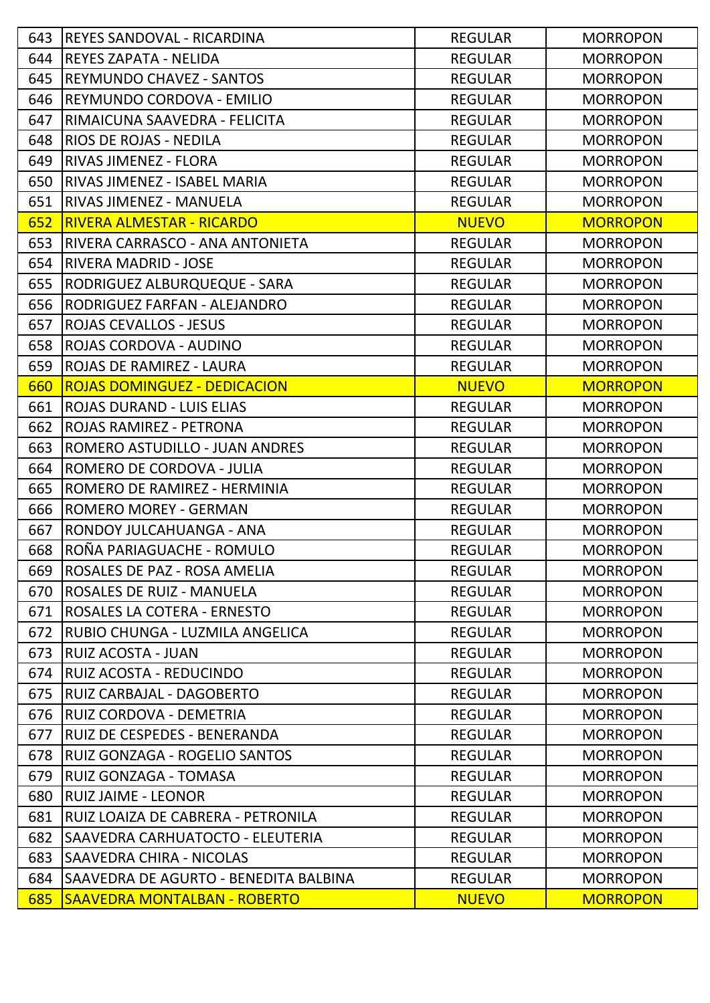| 643 | <b>IREYES SANDOVAL - RICARDINA</b>    | <b>REGULAR</b> | <b>MORROPON</b> |
|-----|---------------------------------------|----------------|-----------------|
| 644 | <b>REYES ZAPATA - NELIDA</b>          | <b>REGULAR</b> | <b>MORROPON</b> |
| 645 | <b>REYMUNDO CHAVEZ - SANTOS</b>       | <b>REGULAR</b> | <b>MORROPON</b> |
| 646 | REYMUNDO CORDOVA - EMILIO             | <b>REGULAR</b> | <b>MORROPON</b> |
| 647 | RIMAICUNA SAAVEDRA - FELICITA         | <b>REGULAR</b> | <b>MORROPON</b> |
| 648 | <b>RIOS DE ROJAS - NEDILA</b>         | <b>REGULAR</b> | <b>MORROPON</b> |
| 649 | <b>RIVAS JIMENEZ - FLORA</b>          | <b>REGULAR</b> | <b>MORROPON</b> |
| 650 | RIVAS JIMENEZ - ISABEL MARIA          | <b>REGULAR</b> | <b>MORROPON</b> |
| 651 | <b>RIVAS JIMENEZ - MANUELA</b>        | <b>REGULAR</b> | <b>MORROPON</b> |
| 652 | <b>RIVERA ALMESTAR - RICARDO</b>      | <b>NUEVO</b>   | <b>MORROPON</b> |
| 653 | RIVERA CARRASCO - ANA ANTONIETA       | <b>REGULAR</b> | <b>MORROPON</b> |
| 654 | <b>RIVERA MADRID - JOSE</b>           | <b>REGULAR</b> | <b>MORROPON</b> |
| 655 | RODRIGUEZ ALBURQUEQUE - SARA          | <b>REGULAR</b> | <b>MORROPON</b> |
| 656 | RODRIGUEZ FARFAN - ALEJANDRO          | <b>REGULAR</b> | <b>MORROPON</b> |
| 657 | <b>ROJAS CEVALLOS - JESUS</b>         | <b>REGULAR</b> | <b>MORROPON</b> |
| 658 | ROJAS CORDOVA - AUDINO                | <b>REGULAR</b> | <b>MORROPON</b> |
| 659 | <b>ROJAS DE RAMIREZ - LAURA</b>       | <b>REGULAR</b> | <b>MORROPON</b> |
| 660 | <b>ROJAS DOMINGUEZ - DEDICACION</b>   | <b>NUEVO</b>   | <b>MORROPON</b> |
| 661 | <b>ROJAS DURAND - LUIS ELIAS</b>      | <b>REGULAR</b> | <b>MORROPON</b> |
| 662 | <b>ROJAS RAMIREZ - PETRONA</b>        | <b>REGULAR</b> | <b>MORROPON</b> |
| 663 | ROMERO ASTUDILLO - JUAN ANDRES        | <b>REGULAR</b> | <b>MORROPON</b> |
| 664 | ROMERO DE CORDOVA - JULIA             | <b>REGULAR</b> | <b>MORROPON</b> |
| 665 | ROMERO DE RAMIREZ - HERMINIA          | <b>REGULAR</b> | <b>MORROPON</b> |
| 666 | <b>ROMERO MOREY - GERMAN</b>          | <b>REGULAR</b> | <b>MORROPON</b> |
| 667 | RONDOY JULCAHUANGA - ANA              | <b>REGULAR</b> | <b>MORROPON</b> |
| 668 | ROÑA PARIAGUACHE - ROMULO             | <b>REGULAR</b> | <b>MORROPON</b> |
| 669 | ROSALES DE PAZ - ROSA AMELIA          | <b>REGULAR</b> | <b>MORROPON</b> |
| 670 | <b>ROSALES DE RUIZ - MANUELA</b>      | <b>REGULAR</b> | <b>MORROPON</b> |
| 671 | <b>ROSALES LA COTERA - ERNESTO</b>    | <b>REGULAR</b> | <b>MORROPON</b> |
| 672 | RUBIO CHUNGA - LUZMILA ANGELICA       | <b>REGULAR</b> | <b>MORROPON</b> |
| 673 | <b>RUIZ ACOSTA - JUAN</b>             | <b>REGULAR</b> | <b>MORROPON</b> |
| 674 | RUIZ ACOSTA - REDUCINDO               | <b>REGULAR</b> | <b>MORROPON</b> |
| 675 | <b>RUIZ CARBAJAL - DAGOBERTO</b>      | <b>REGULAR</b> | <b>MORROPON</b> |
| 676 | RUIZ CORDOVA - DEMETRIA               | <b>REGULAR</b> | <b>MORROPON</b> |
| 677 | RUIZ DE CESPEDES - BENERANDA          | <b>REGULAR</b> | <b>MORROPON</b> |
| 678 | RUIZ GONZAGA - ROGELIO SANTOS         | <b>REGULAR</b> | <b>MORROPON</b> |
| 679 | RUIZ GONZAGA - TOMASA                 | <b>REGULAR</b> | <b>MORROPON</b> |
| 680 | <b>RUIZ JAIME - LEONOR</b>            | <b>REGULAR</b> | <b>MORROPON</b> |
| 681 | RUIZ LOAIZA DE CABRERA - PETRONILA    | <b>REGULAR</b> | <b>MORROPON</b> |
| 682 | SAAVEDRA CARHUATOCTO - ELEUTERIA      | <b>REGULAR</b> | <b>MORROPON</b> |
| 683 | <b>SAAVEDRA CHIRA - NICOLAS</b>       | <b>REGULAR</b> | <b>MORROPON</b> |
| 684 | SAAVEDRA DE AGURTO - BENEDITA BALBINA | <b>REGULAR</b> | <b>MORROPON</b> |
| 685 | <b>SAAVEDRA MONTALBAN - ROBERTO</b>   | <b>NUEVO</b>   | <b>MORROPON</b> |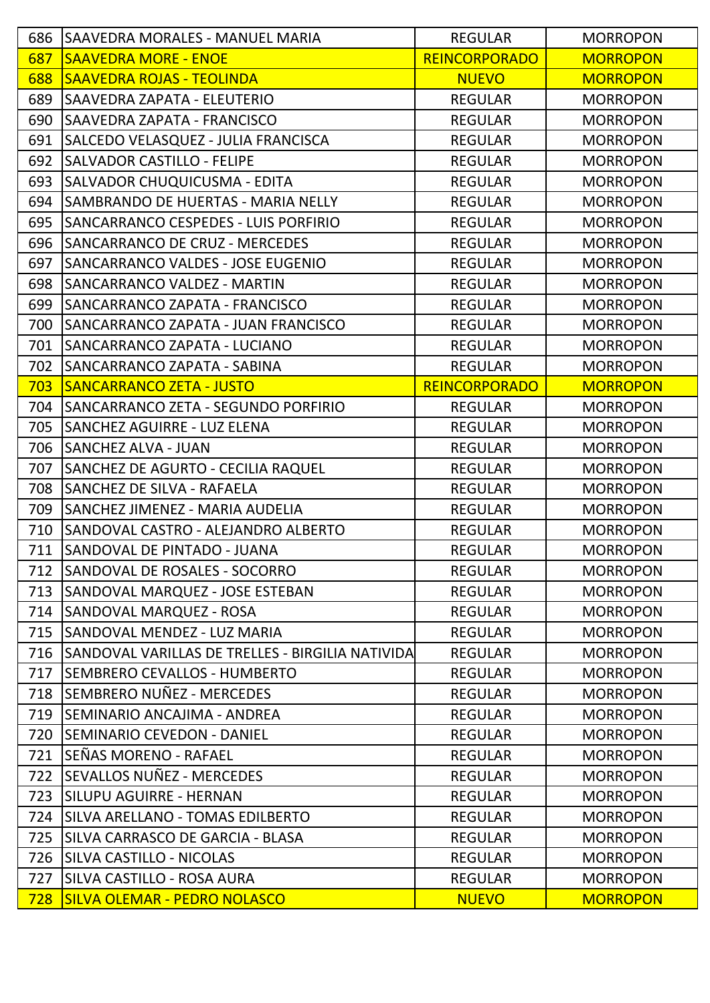| 686 | <b>SAAVEDRA MORALES - MANUEL MARIA</b>           | <b>REGULAR</b>       | <b>MORROPON</b> |
|-----|--------------------------------------------------|----------------------|-----------------|
| 687 | <b>SAAVEDRA MORE - ENOE</b>                      | <b>REINCORPORADO</b> | <b>MORROPON</b> |
| 688 | <b>SAAVEDRA ROJAS - TEOLINDA</b>                 | <b>NUEVO</b>         | <b>MORROPON</b> |
| 689 | <b>SAAVEDRA ZAPATA - ELEUTERIO</b>               | <b>REGULAR</b>       | <b>MORROPON</b> |
| 690 | SAAVEDRA ZAPATA - FRANCISCO                      | <b>REGULAR</b>       | <b>MORROPON</b> |
| 691 | SALCEDO VELASQUEZ - JULIA FRANCISCA              | <b>REGULAR</b>       | <b>MORROPON</b> |
| 692 | <b>SALVADOR CASTILLO - FELIPE</b>                | <b>REGULAR</b>       | <b>MORROPON</b> |
| 693 | <b>SALVADOR CHUQUICUSMA - EDITA</b>              | <b>REGULAR</b>       | <b>MORROPON</b> |
| 694 | SAMBRANDO DE HUERTAS - MARIA NELLY               | <b>REGULAR</b>       | <b>MORROPON</b> |
| 695 | SANCARRANCO CESPEDES - LUIS PORFIRIO             | <b>REGULAR</b>       | <b>MORROPON</b> |
| 696 | <b>SANCARRANCO DE CRUZ - MERCEDES</b>            | <b>REGULAR</b>       | <b>MORROPON</b> |
| 697 | SANCARRANCO VALDES - JOSE EUGENIO                | <b>REGULAR</b>       | <b>MORROPON</b> |
| 698 | <b>SANCARRANCO VALDEZ - MARTIN</b>               | <b>REGULAR</b>       | <b>MORROPON</b> |
| 699 | <b>SANCARRANCO ZAPATA - FRANCISCO</b>            | <b>REGULAR</b>       | <b>MORROPON</b> |
| 700 | SANCARRANCO ZAPATA - JUAN FRANCISCO              | <b>REGULAR</b>       | <b>MORROPON</b> |
| 701 | SANCARRANCO ZAPATA - LUCIANO                     | <b>REGULAR</b>       | <b>MORROPON</b> |
| 702 | SANCARRANCO ZAPATA - SABINA                      | <b>REGULAR</b>       | <b>MORROPON</b> |
| 703 | <b>SANCARRANCO ZETA - JUSTO</b>                  | <b>REINCORPORADO</b> | <b>MORROPON</b> |
| 704 | SANCARRANCO ZETA - SEGUNDO PORFIRIO              | <b>REGULAR</b>       | <b>MORROPON</b> |
| 705 | <b>SANCHEZ AGUIRRE - LUZ ELENA</b>               | <b>REGULAR</b>       | <b>MORROPON</b> |
| 706 | <b>SANCHEZ ALVA - JUAN</b>                       | <b>REGULAR</b>       | <b>MORROPON</b> |
| 707 | <b>SANCHEZ DE AGURTO - CECILIA RAQUEL</b>        | <b>REGULAR</b>       | <b>MORROPON</b> |
| 708 | <b>SANCHEZ DE SILVA - RAFAELA</b>                | <b>REGULAR</b>       | <b>MORROPON</b> |
| 709 | <b>SANCHEZ JIMENEZ - MARIA AUDELIA</b>           | <b>REGULAR</b>       | <b>MORROPON</b> |
| 710 | SANDOVAL CASTRO - ALEJANDRO ALBERTO              | <b>REGULAR</b>       | <b>MORROPON</b> |
| 711 | ISANDOVAL DE PINTADO - JUANA                     | <b>REGULAR</b>       | <b>MORROPON</b> |
| 712 | SANDOVAL DE ROSALES - SOCORRO                    | <b>REGULAR</b>       | <b>MORROPON</b> |
| 713 | SANDOVAL MARQUEZ - JOSE ESTEBAN                  | <b>REGULAR</b>       | <b>MORROPON</b> |
| 714 | SANDOVAL MARQUEZ - ROSA                          | <b>REGULAR</b>       | <b>MORROPON</b> |
| 715 | <b>SANDOVAL MENDEZ - LUZ MARIA</b>               | <b>REGULAR</b>       | <b>MORROPON</b> |
| 716 | SANDOVAL VARILLAS DE TRELLES - BIRGILIA NATIVIDA | <b>REGULAR</b>       | <b>MORROPON</b> |
| 717 | <b>SEMBRERO CEVALLOS - HUMBERTO</b>              | <b>REGULAR</b>       | <b>MORROPON</b> |
| 718 | <b>SEMBRERO NUÑEZ - MERCEDES</b>                 | <b>REGULAR</b>       | <b>MORROPON</b> |
| 719 | SEMINARIO ANCAJIMA - ANDREA                      | <b>REGULAR</b>       | <b>MORROPON</b> |
| 720 | <b>SEMINARIO CEVEDON - DANIEL</b>                | <b>REGULAR</b>       | <b>MORROPON</b> |
| 721 | SEÑAS MORENO - RAFAEL                            | <b>REGULAR</b>       | <b>MORROPON</b> |
| 722 | SEVALLOS NUÑEZ - MERCEDES                        | <b>REGULAR</b>       | <b>MORROPON</b> |
| 723 | <b>SILUPU AGUIRRE - HERNAN</b>                   | <b>REGULAR</b>       | <b>MORROPON</b> |
| 724 | SILVA ARELLANO - TOMAS EDILBERTO                 | <b>REGULAR</b>       | <b>MORROPON</b> |
| 725 | SILVA CARRASCO DE GARCIA - BLASA                 | <b>REGULAR</b>       | <b>MORROPON</b> |
| 726 | SILVA CASTILLO - NICOLAS                         | <b>REGULAR</b>       | <b>MORROPON</b> |
| 727 | SILVA CASTILLO - ROSA AURA                       | <b>REGULAR</b>       | <b>MORROPON</b> |
| 728 | <b>SILVA OLEMAR - PEDRO NOLASCO</b>              | <b>NUEVO</b>         | <b>MORROPON</b> |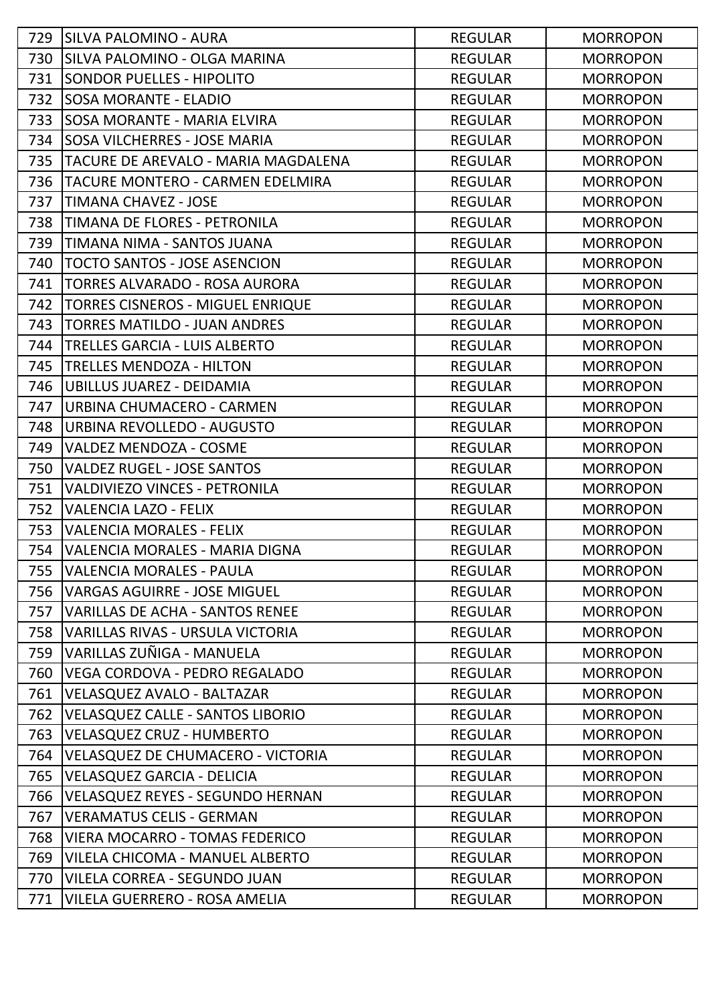| 729 | <b>SILVA PALOMINO - AURA</b>             | <b>REGULAR</b> | <b>MORROPON</b> |
|-----|------------------------------------------|----------------|-----------------|
| 730 | <b>SILVA PALOMINO - OLGA MARINA</b>      | <b>REGULAR</b> | <b>MORROPON</b> |
| 731 | <b>SONDOR PUELLES - HIPOLITO</b>         | <b>REGULAR</b> | <b>MORROPON</b> |
| 732 | SOSA MORANTE - ELADIO                    | <b>REGULAR</b> | <b>MORROPON</b> |
| 733 | ISOSA MORANTE - MARIA ELVIRA             | <b>REGULAR</b> | <b>MORROPON</b> |
| 734 | ISOSA VILCHERRES - JOSE MARIA            | <b>REGULAR</b> | <b>MORROPON</b> |
| 735 | TACURE DE AREVALO - MARIA MAGDALENA      | <b>REGULAR</b> | <b>MORROPON</b> |
| 736 | TACURE MONTERO - CARMEN EDELMIRA         | <b>REGULAR</b> | <b>MORROPON</b> |
| 737 | <b>TIMANA CHAVEZ - JOSE</b>              | <b>REGULAR</b> | <b>MORROPON</b> |
| 738 | TIMANA DE FLORES - PETRONILA             | <b>REGULAR</b> | <b>MORROPON</b> |
| 739 | TIMANA NIMA - SANTOS JUANA               | <b>REGULAR</b> | <b>MORROPON</b> |
| 740 | <b>TOCTO SANTOS - JOSE ASENCION</b>      | <b>REGULAR</b> | <b>MORROPON</b> |
| 741 | TORRES ALVARADO - ROSA AURORA            | <b>REGULAR</b> | <b>MORROPON</b> |
| 742 | <b>TORRES CISNEROS - MIGUEL ENRIQUE</b>  | <b>REGULAR</b> | <b>MORROPON</b> |
| 743 | <b>TORRES MATILDO - JUAN ANDRES</b>      | <b>REGULAR</b> | <b>MORROPON</b> |
| 744 | TRELLES GARCIA - LUIS ALBERTO            | <b>REGULAR</b> | <b>MORROPON</b> |
| 745 | TRELLES MENDOZA - HILTON                 | <b>REGULAR</b> | <b>MORROPON</b> |
| 746 | UBILLUS JUAREZ - DEIDAMIA                | <b>REGULAR</b> | <b>MORROPON</b> |
| 747 | URBINA CHUMACERO - CARMEN                | <b>REGULAR</b> | <b>MORROPON</b> |
| 748 | URBINA REVOLLEDO - AUGUSTO               | <b>REGULAR</b> | <b>MORROPON</b> |
| 749 | <b>VALDEZ MENDOZA - COSME</b>            | <b>REGULAR</b> | <b>MORROPON</b> |
| 750 | <b>VALDEZ RUGEL - JOSE SANTOS</b>        | <b>REGULAR</b> | <b>MORROPON</b> |
| 751 | <b>VALDIVIEZO VINCES - PETRONILA</b>     | <b>REGULAR</b> | <b>MORROPON</b> |
| 752 | <b>VALENCIA LAZO - FELIX</b>             | <b>REGULAR</b> | <b>MORROPON</b> |
| 753 | <b>VALENCIA MORALES - FELIX</b>          | <b>REGULAR</b> | <b>MORROPON</b> |
| 754 | VALENCIA MORALES - MARIA DIGNA           | <b>REGULAR</b> | <b>MORROPON</b> |
| 755 | lVALENCIA MORALES - PAULA                | <b>REGULAR</b> | <b>MORROPON</b> |
| 756 | VARGAS AGUIRRE - JOSE MIGUEL             | <b>REGULAR</b> | <b>MORROPON</b> |
| 757 | <b>VARILLAS DE ACHA - SANTOS RENEE</b>   | <b>REGULAR</b> | <b>MORROPON</b> |
| 758 | <b>VARILLAS RIVAS - URSULA VICTORIA</b>  | <b>REGULAR</b> | <b>MORROPON</b> |
| 759 | VARILLAS ZUÑIGA - MANUELA                | <b>REGULAR</b> | <b>MORROPON</b> |
| 760 | <b>VEGA CORDOVA - PEDRO REGALADO</b>     | <b>REGULAR</b> | <b>MORROPON</b> |
| 761 | <b>VELASQUEZ AVALO - BALTAZAR</b>        | <b>REGULAR</b> | <b>MORROPON</b> |
| 762 | <b>VELASQUEZ CALLE - SANTOS LIBORIO</b>  | <b>REGULAR</b> | <b>MORROPON</b> |
| 763 | <b>VELASQUEZ CRUZ - HUMBERTO</b>         | <b>REGULAR</b> | <b>MORROPON</b> |
| 764 | <b>VELASQUEZ DE CHUMACERO - VICTORIA</b> | <b>REGULAR</b> | <b>MORROPON</b> |
| 765 | <b>VELASQUEZ GARCIA - DELICIA</b>        | <b>REGULAR</b> | <b>MORROPON</b> |
| 766 | <b>VELASQUEZ REYES - SEGUNDO HERNAN</b>  | <b>REGULAR</b> | <b>MORROPON</b> |
| 767 | <b>VERAMATUS CELIS - GERMAN</b>          | <b>REGULAR</b> | <b>MORROPON</b> |
| 768 | VIERA MOCARRO - TOMAS FEDERICO           | <b>REGULAR</b> | <b>MORROPON</b> |
| 769 | VILELA CHICOMA - MANUEL ALBERTO          | <b>REGULAR</b> | <b>MORROPON</b> |
| 770 | VILELA CORREA - SEGUNDO JUAN             | <b>REGULAR</b> | <b>MORROPON</b> |
| 771 | <b>VILELA GUERRERO - ROSA AMELIA</b>     | <b>REGULAR</b> | <b>MORROPON</b> |